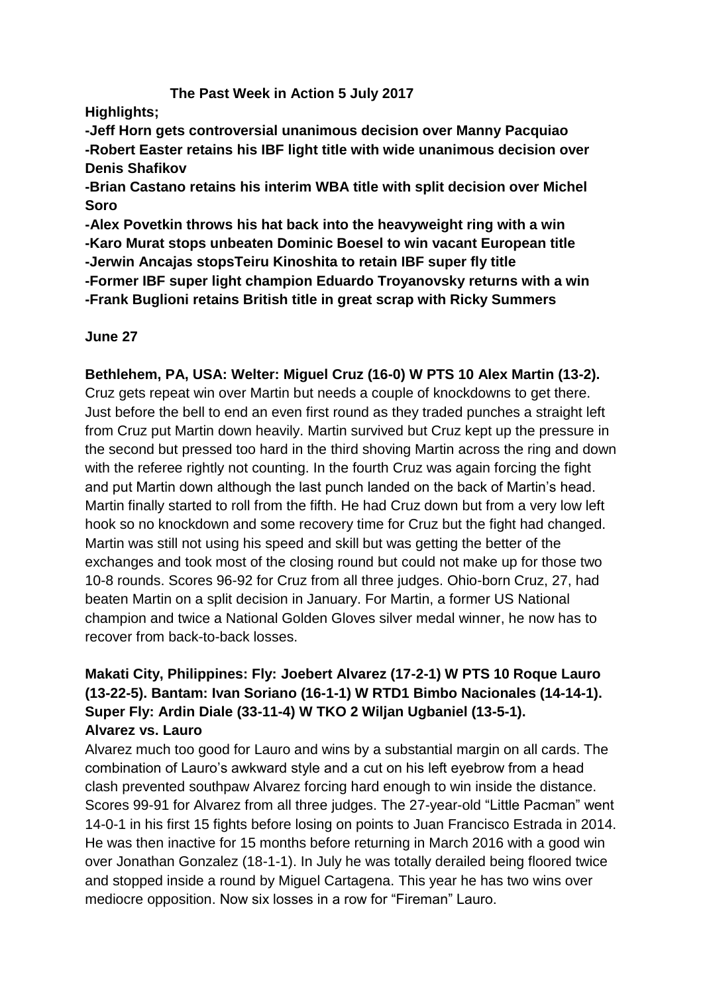## **The Past Week in Action 5 July 2017**

**Highlights;**

**-Jeff Horn gets controversial unanimous decision over Manny Pacquiao -Robert Easter retains his IBF light title with wide unanimous decision over Denis Shafikov**

**-Brian Castano retains his interim WBA title with split decision over Michel Soro**

**-Alex Povetkin throws his hat back into the heavyweight ring with a win -Karo Murat stops unbeaten Dominic Boesel to win vacant European title -Jerwin Ancajas stopsTeiru Kinoshita to retain IBF super fly title -Former IBF super light champion Eduardo Troyanovsky returns with a win -Frank Buglioni retains British title in great scrap with Ricky Summers**

## **June 27**

## **Bethlehem, PA, USA: Welter: Miguel Cruz (16-0) W PTS 10 Alex Martin (13-2).**

Cruz gets repeat win over Martin but needs a couple of knockdowns to get there. Just before the bell to end an even first round as they traded punches a straight left from Cruz put Martin down heavily. Martin survived but Cruz kept up the pressure in the second but pressed too hard in the third shoving Martin across the ring and down with the referee rightly not counting. In the fourth Cruz was again forcing the fight and put Martin down although the last punch landed on the back of Martin's head. Martin finally started to roll from the fifth. He had Cruz down but from a very low left hook so no knockdown and some recovery time for Cruz but the fight had changed. Martin was still not using his speed and skill but was getting the better of the exchanges and took most of the closing round but could not make up for those two 10-8 rounds. Scores 96-92 for Cruz from all three judges. Ohio-born Cruz, 27, had beaten Martin on a split decision in January. For Martin, a former US National champion and twice a National Golden Gloves silver medal winner, he now has to recover from back-to-back losses.

# **Makati City, Philippines: Fly: Joebert Alvarez (17-2-1) W PTS 10 Roque Lauro (13-22-5). Bantam: Ivan Soriano (16-1-1) W RTD1 Bimbo Nacionales (14-14-1). Super Fly: Ardin Diale (33-11-4) W TKO 2 Wiljan Ugbaniel (13-5-1). Alvarez vs. Lauro**

Alvarez much too good for Lauro and wins by a substantial margin on all cards. The combination of Lauro's awkward style and a cut on his left eyebrow from a head clash prevented southpaw Alvarez forcing hard enough to win inside the distance. Scores 99-91 for Alvarez from all three judges. The 27-year-old "Little Pacman" went 14-0-1 in his first 15 fights before losing on points to Juan Francisco Estrada in 2014. He was then inactive for 15 months before returning in March 2016 with a good win over Jonathan Gonzalez (18-1-1). In July he was totally derailed being floored twice and stopped inside a round by Miguel Cartagena. This year he has two wins over mediocre opposition. Now six losses in a row for "Fireman" Lauro.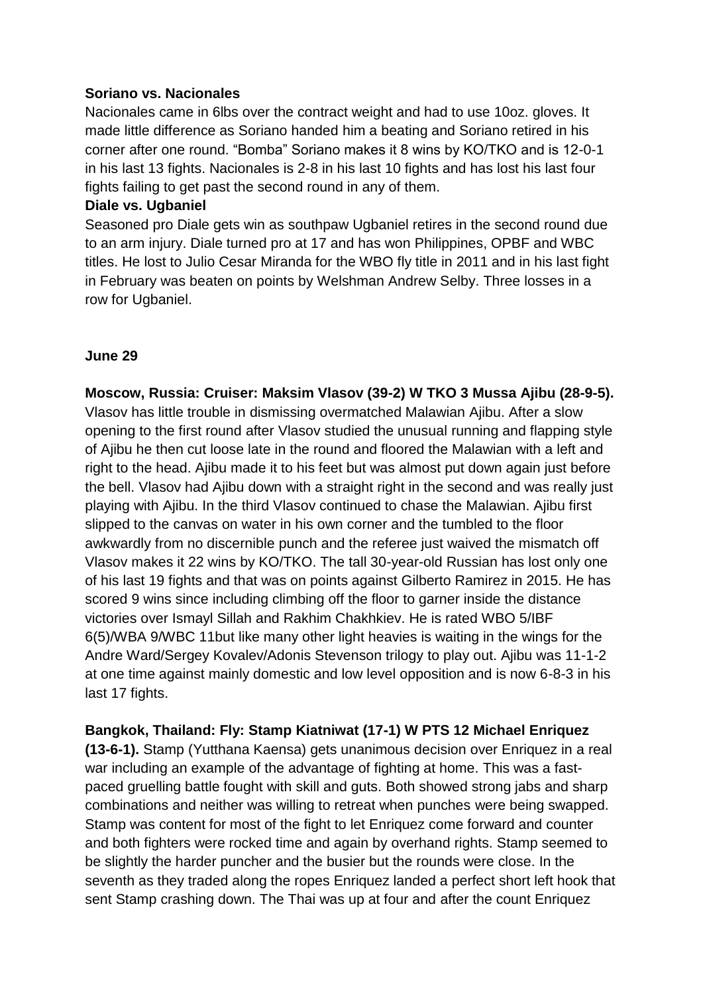#### **Soriano vs. Nacionales**

Nacionales came in 6lbs over the contract weight and had to use 10oz. gloves. It made little difference as Soriano handed him a beating and Soriano retired in his corner after one round. "Bomba" Soriano makes it 8 wins by KO/TKO and is 12-0-1 in his last 13 fights. Nacionales is 2-8 in his last 10 fights and has lost his last four fights failing to get past the second round in any of them.

#### **Diale vs. Ugbaniel**

Seasoned pro Diale gets win as southpaw Ugbaniel retires in the second round due to an arm injury. Diale turned pro at 17 and has won Philippines, OPBF and WBC titles. He lost to Julio Cesar Miranda for the WBO fly title in 2011 and in his last fight in February was beaten on points by Welshman Andrew Selby. Three losses in a row for Ugbaniel.

#### **June 29**

**Moscow, Russia: Cruiser: Maksim Vlasov (39-2) W TKO 3 Mussa Ajibu (28-9-5).** Vlasov has little trouble in dismissing overmatched Malawian Ajibu. After a slow opening to the first round after Vlasov studied the unusual running and flapping style of Ajibu he then cut loose late in the round and floored the Malawian with a left and right to the head. Ajibu made it to his feet but was almost put down again just before the bell. Vlasov had Ajibu down with a straight right in the second and was really just playing with Ajibu. In the third Vlasov continued to chase the Malawian. Ajibu first slipped to the canvas on water in his own corner and the tumbled to the floor awkwardly from no discernible punch and the referee just waived the mismatch off Vlasov makes it 22 wins by KO/TKO. The tall 30-year-old Russian has lost only one of his last 19 fights and that was on points against Gilberto Ramirez in 2015. He has scored 9 wins since including climbing off the floor to garner inside the distance victories over Ismayl Sillah and Rakhim Chakhkiev. He is rated WBO 5/IBF 6(5)/WBA 9/WBC 11but like many other light heavies is waiting in the wings for the Andre Ward/Sergey Kovalev/Adonis Stevenson trilogy to play out. Ajibu was 11-1-2 at one time against mainly domestic and low level opposition and is now 6-8-3 in his last 17 fights.

**Bangkok, Thailand: Fly: Stamp Kiatniwat (17-1) W PTS 12 Michael Enriquez (13-6-1).** Stamp (Yutthana Kaensa) gets unanimous decision over Enriquez in a real war including an example of the advantage of fighting at home. This was a fastpaced gruelling battle fought with skill and guts. Both showed strong jabs and sharp combinations and neither was willing to retreat when punches were being swapped. Stamp was content for most of the fight to let Enriquez come forward and counter and both fighters were rocked time and again by overhand rights. Stamp seemed to be slightly the harder puncher and the busier but the rounds were close. In the seventh as they traded along the ropes Enriquez landed a perfect short left hook that sent Stamp crashing down. The Thai was up at four and after the count Enriquez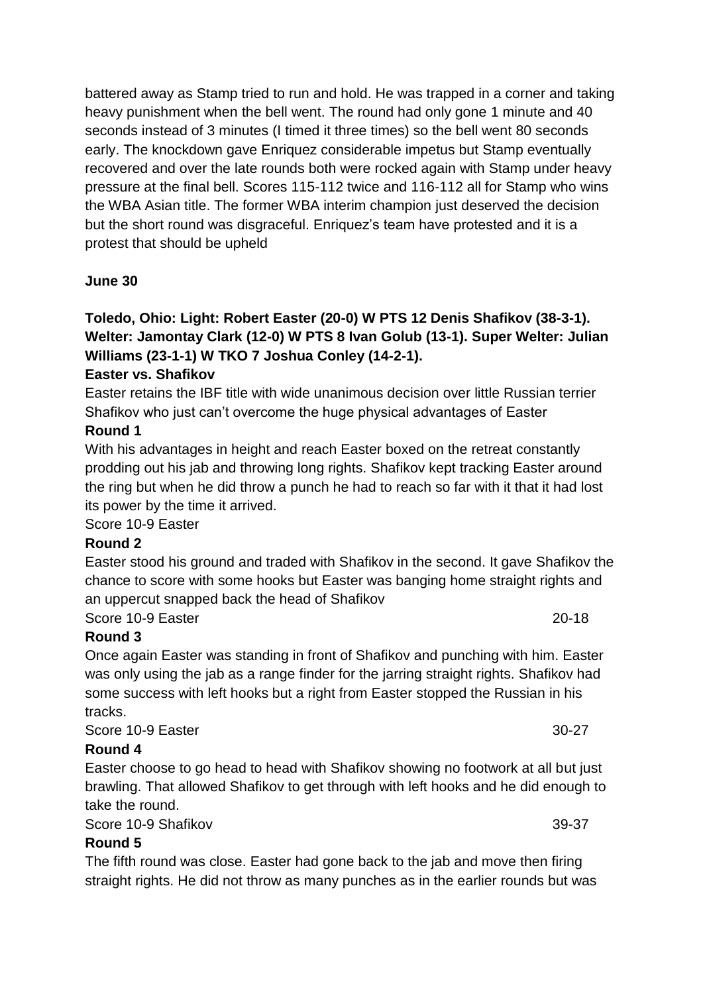battered away as Stamp tried to run and hold. He was trapped in a corner and taking heavy punishment when the bell went. The round had only gone 1 minute and 40 seconds instead of 3 minutes (I timed it three times) so the bell went 80 seconds early. The knockdown gave Enriquez considerable impetus but Stamp eventually recovered and over the late rounds both were rocked again with Stamp under heavy pressure at the final bell. Scores 115-112 twice and 116-112 all for Stamp who wins the WBA Asian title. The former WBA interim champion just deserved the decision but the short round was disgraceful. Enriquez's team have protested and it is a protest that should be upheld

## **June 30**

# **Toledo, Ohio: Light: Robert Easter (20-0) W PTS 12 Denis Shafikov (38-3-1). Welter: Jamontay Clark (12-0) W PTS 8 Ivan Golub (13-1). Super Welter: Julian Williams (23-1-1) W TKO 7 Joshua Conley (14-2-1).**

#### **Easter vs. Shafikov**

Easter retains the IBF title with wide unanimous decision over little Russian terrier Shafikov who just can't overcome the huge physical advantages of Easter

#### **Round 1**

With his advantages in height and reach Easter boxed on the retreat constantly prodding out his jab and throwing long rights. Shafikov kept tracking Easter around the ring but when he did throw a punch he had to reach so far with it that it had lost its power by the time it arrived.

Score 10-9 Easter

#### **Round 2**

Easter stood his ground and traded with Shafikov in the second. It gave Shafikov the chance to score with some hooks but Easter was banging home straight rights and an uppercut snapped back the head of Shafikov

Score 10-9 Easter 20-18

## **Round 3**

Once again Easter was standing in front of Shafikov and punching with him. Easter was only using the jab as a range finder for the jarring straight rights. Shafikov had some success with left hooks but a right from Easter stopped the Russian in his tracks.

#### Score 10-9 Easter 30-27

#### **Round 4**

Easter choose to go head to head with Shafikov showing no footwork at all but just brawling. That allowed Shafikov to get through with left hooks and he did enough to take the round.

Score 10-9 Shafikov 39-37

## **Round 5**

The fifth round was close. Easter had gone back to the jab and move then firing straight rights. He did not throw as many punches as in the earlier rounds but was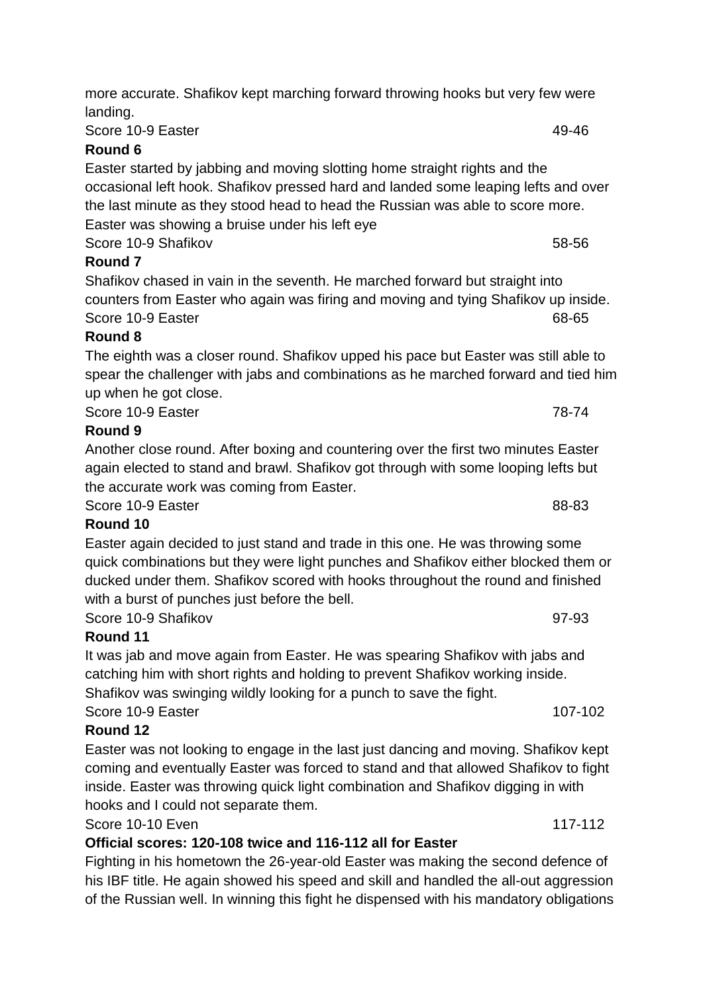Score 10-9 Easter 49-46

# **Round 6**

Easter started by jabbing and moving slotting home straight rights and the occasional left hook. Shafikov pressed hard and landed some leaping lefts and over the last minute as they stood head to head the Russian was able to score more. Easter was showing a bruise under his left eye Score 10-9 Shafikov 58-56

# **Round 7**

Shafikov chased in vain in the seventh. He marched forward but straight into counters from Easter who again was firing and moving and tying Shafikov up inside. Score 10-9 Faster 68-65

# **Round 8**

The eighth was a closer round. Shafikov upped his pace but Easter was still able to spear the challenger with jabs and combinations as he marched forward and tied him up when he got close.

Score 10-9 Easter 78-74

# **Round 9**

Another close round. After boxing and countering over the first two minutes Easter again elected to stand and brawl. Shafikov got through with some looping lefts but the accurate work was coming from Easter.

Score 10-9 Easter 88-83

# **Round 10**

Easter again decided to just stand and trade in this one. He was throwing some quick combinations but they were light punches and Shafikov either blocked them or ducked under them. Shafikov scored with hooks throughout the round and finished with a burst of punches just before the bell.

Score 10-9 Shafikov 97-93

# **Round 11**

It was jab and move again from Easter. He was spearing Shafikov with jabs and catching him with short rights and holding to prevent Shafikov working inside. Shafikov was swinging wildly looking for a punch to save the fight.

Score 10-9 Easter 10-102

# **Round 12**

Easter was not looking to engage in the last just dancing and moving. Shafikov kept coming and eventually Easter was forced to stand and that allowed Shafikov to fight inside. Easter was throwing quick light combination and Shafikov digging in with hooks and I could not separate them.

Score 10-10 Even 117-112

# **Official scores: 120-108 twice and 116-112 all for Easter**

Fighting in his hometown the 26-year-old Easter was making the second defence of his IBF title. He again showed his speed and skill and handled the all-out aggression of the Russian well. In winning this fight he dispensed with his mandatory obligations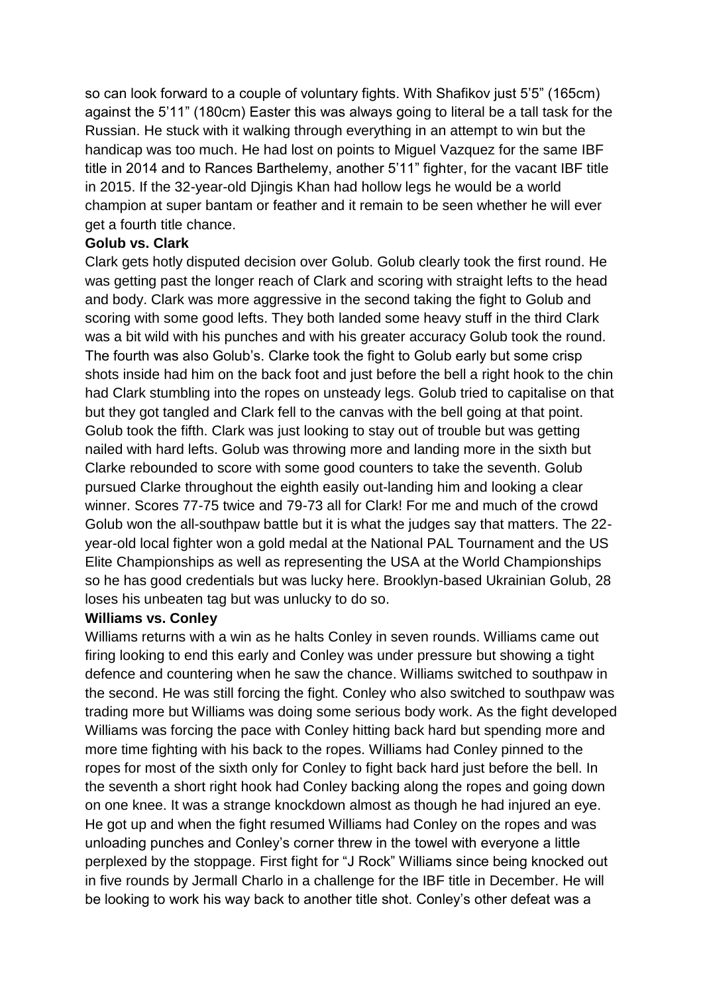so can look forward to a couple of voluntary fights. With Shafikov just 5'5" (165cm) against the 5'11" (180cm) Easter this was always going to literal be a tall task for the Russian. He stuck with it walking through everything in an attempt to win but the handicap was too much. He had lost on points to Miguel Vazquez for the same IBF title in 2014 and to Rances Barthelemy, another 5'11" fighter, for the vacant IBF title in 2015. If the 32-year-old Djingis Khan had hollow legs he would be a world champion at super bantam or feather and it remain to be seen whether he will ever get a fourth title chance.

#### **Golub vs. Clark**

Clark gets hotly disputed decision over Golub. Golub clearly took the first round. He was getting past the longer reach of Clark and scoring with straight lefts to the head and body. Clark was more aggressive in the second taking the fight to Golub and scoring with some good lefts. They both landed some heavy stuff in the third Clark was a bit wild with his punches and with his greater accuracy Golub took the round. The fourth was also Golub's. Clarke took the fight to Golub early but some crisp shots inside had him on the back foot and just before the bell a right hook to the chin had Clark stumbling into the ropes on unsteady legs. Golub tried to capitalise on that but they got tangled and Clark fell to the canvas with the bell going at that point. Golub took the fifth. Clark was just looking to stay out of trouble but was getting nailed with hard lefts. Golub was throwing more and landing more in the sixth but Clarke rebounded to score with some good counters to take the seventh. Golub pursued Clarke throughout the eighth easily out-landing him and looking a clear winner. Scores 77-75 twice and 79-73 all for Clark! For me and much of the crowd Golub won the all-southpaw battle but it is what the judges say that matters. The 22 year-old local fighter won a gold medal at the National PAL Tournament and the US Elite Championships as well as representing the USA at the World Championships so he has good credentials but was lucky here. Brooklyn-based Ukrainian Golub, 28 loses his unbeaten tag but was unlucky to do so.

#### **Williams vs. Conley**

Williams returns with a win as he halts Conley in seven rounds. Williams came out firing looking to end this early and Conley was under pressure but showing a tight defence and countering when he saw the chance. Williams switched to southpaw in the second. He was still forcing the fight. Conley who also switched to southpaw was trading more but Williams was doing some serious body work. As the fight developed Williams was forcing the pace with Conley hitting back hard but spending more and more time fighting with his back to the ropes. Williams had Conley pinned to the ropes for most of the sixth only for Conley to fight back hard just before the bell. In the seventh a short right hook had Conley backing along the ropes and going down on one knee. It was a strange knockdown almost as though he had injured an eye. He got up and when the fight resumed Williams had Conley on the ropes and was unloading punches and Conley's corner threw in the towel with everyone a little perplexed by the stoppage. First fight for "J Rock" Williams since being knocked out in five rounds by Jermall Charlo in a challenge for the IBF title in December. He will be looking to work his way back to another title shot. Conley's other defeat was a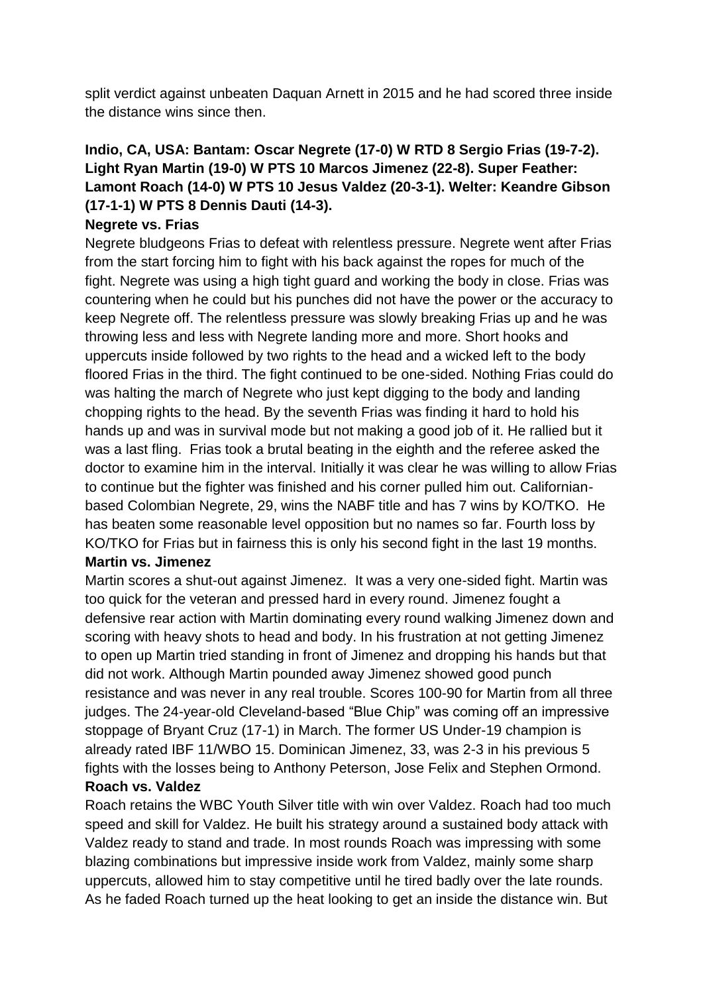split verdict against unbeaten Daquan Arnett in 2015 and he had scored three inside the distance wins since then.

# **Indio, CA, USA: Bantam: Oscar Negrete (17-0) W RTD 8 Sergio Frias (19-7-2). Light Ryan Martin (19-0) W PTS 10 Marcos Jimenez (22-8). Super Feather: Lamont Roach (14-0) W PTS 10 Jesus Valdez (20-3-1). Welter: Keandre Gibson (17-1-1) W PTS 8 Dennis Dauti (14-3).**

## **Negrete vs. Frias**

Negrete bludgeons Frias to defeat with relentless pressure. Negrete went after Frias from the start forcing him to fight with his back against the ropes for much of the fight. Negrete was using a high tight guard and working the body in close. Frias was countering when he could but his punches did not have the power or the accuracy to keep Negrete off. The relentless pressure was slowly breaking Frias up and he was throwing less and less with Negrete landing more and more. Short hooks and uppercuts inside followed by two rights to the head and a wicked left to the body floored Frias in the third. The fight continued to be one-sided. Nothing Frias could do was halting the march of Negrete who just kept digging to the body and landing chopping rights to the head. By the seventh Frias was finding it hard to hold his hands up and was in survival mode but not making a good job of it. He rallied but it was a last fling. Frias took a brutal beating in the eighth and the referee asked the doctor to examine him in the interval. Initially it was clear he was willing to allow Frias to continue but the fighter was finished and his corner pulled him out. Californianbased Colombian Negrete, 29, wins the NABF title and has 7 wins by KO/TKO. He has beaten some reasonable level opposition but no names so far. Fourth loss by KO/TKO for Frias but in fairness this is only his second fight in the last 19 months.

## **Martin vs. Jimenez**

Martin scores a shut-out against Jimenez. It was a very one-sided fight. Martin was too quick for the veteran and pressed hard in every round. Jimenez fought a defensive rear action with Martin dominating every round walking Jimenez down and scoring with heavy shots to head and body. In his frustration at not getting Jimenez to open up Martin tried standing in front of Jimenez and dropping his hands but that did not work. Although Martin pounded away Jimenez showed good punch resistance and was never in any real trouble. Scores 100-90 for Martin from all three judges. The 24-year-old Cleveland-based "Blue Chip" was coming off an impressive stoppage of Bryant Cruz (17-1) in March. The former US Under-19 champion is already rated IBF 11/WBO 15. Dominican Jimenez, 33, was 2-3 in his previous 5 fights with the losses being to Anthony Peterson, Jose Felix and Stephen Ormond. **Roach vs. Valdez**

Roach retains the WBC Youth Silver title with win over Valdez. Roach had too much speed and skill for Valdez. He built his strategy around a sustained body attack with Valdez ready to stand and trade. In most rounds Roach was impressing with some blazing combinations but impressive inside work from Valdez, mainly some sharp uppercuts, allowed him to stay competitive until he tired badly over the late rounds. As he faded Roach turned up the heat looking to get an inside the distance win. But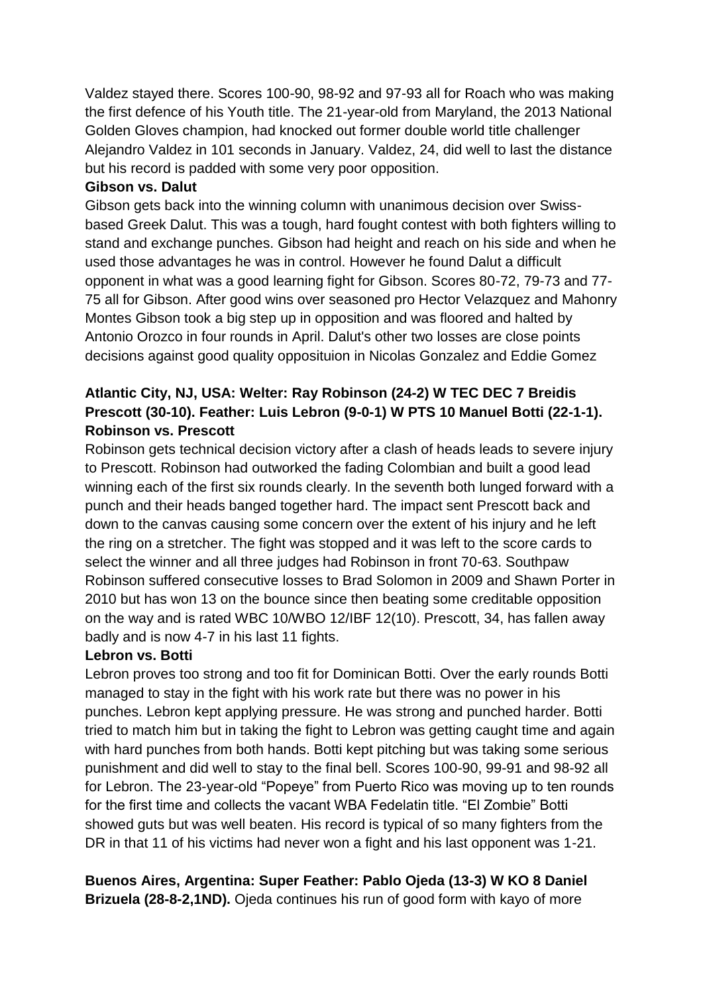Valdez stayed there. Scores 100-90, 98-92 and 97-93 all for Roach who was making the first defence of his Youth title. The 21-year-old from Maryland, the 2013 National Golden Gloves champion, had knocked out former double world title challenger Alejandro Valdez in 101 seconds in January. Valdez, 24, did well to last the distance but his record is padded with some very poor opposition.

#### **Gibson vs. Dalut**

Gibson gets back into the winning column with unanimous decision over Swissbased Greek Dalut. This was a tough, hard fought contest with both fighters willing to stand and exchange punches. Gibson had height and reach on his side and when he used those advantages he was in control. However he found Dalut a difficult opponent in what was a good learning fight for Gibson. Scores 80-72, 79-73 and 77- 75 all for Gibson. After good wins over seasoned pro Hector Velazquez and Mahonry Montes Gibson took a big step up in opposition and was floored and halted by Antonio Orozco in four rounds in April. Dalut's other two losses are close points decisions against good quality opposituion in Nicolas Gonzalez and Eddie Gomez

## **Atlantic City, NJ, USA: Welter: Ray Robinson (24-2) W TEC DEC 7 Breidis Prescott (30-10). Feather: Luis Lebron (9-0-1) W PTS 10 Manuel Botti (22-1-1). Robinson vs. Prescott**

Robinson gets technical decision victory after a clash of heads leads to severe injury to Prescott. Robinson had outworked the fading Colombian and built a good lead winning each of the first six rounds clearly. In the seventh both lunged forward with a punch and their heads banged together hard. The impact sent Prescott back and down to the canvas causing some concern over the extent of his injury and he left the ring on a stretcher. The fight was stopped and it was left to the score cards to select the winner and all three judges had Robinson in front 70-63. Southpaw Robinson suffered consecutive losses to Brad Solomon in 2009 and Shawn Porter in 2010 but has won 13 on the bounce since then beating some creditable opposition on the way and is rated WBC 10/WBO 12/IBF 12(10). Prescott, 34, has fallen away badly and is now 4-7 in his last 11 fights.

## **Lebron vs. Botti**

Lebron proves too strong and too fit for Dominican Botti. Over the early rounds Botti managed to stay in the fight with his work rate but there was no power in his punches. Lebron kept applying pressure. He was strong and punched harder. Botti tried to match him but in taking the fight to Lebron was getting caught time and again with hard punches from both hands. Botti kept pitching but was taking some serious punishment and did well to stay to the final bell. Scores 100-90, 99-91 and 98-92 all for Lebron. The 23-year-old "Popeye" from Puerto Rico was moving up to ten rounds for the first time and collects the vacant WBA Fedelatin title. "El Zombie" Botti showed guts but was well beaten. His record is typical of so many fighters from the DR in that 11 of his victims had never won a fight and his last opponent was 1-21.

**Buenos Aires, Argentina: Super Feather: Pablo Ojeda (13-3) W KO 8 Daniel Brizuela (28-8-2,1ND).** Ojeda continues his run of good form with kayo of more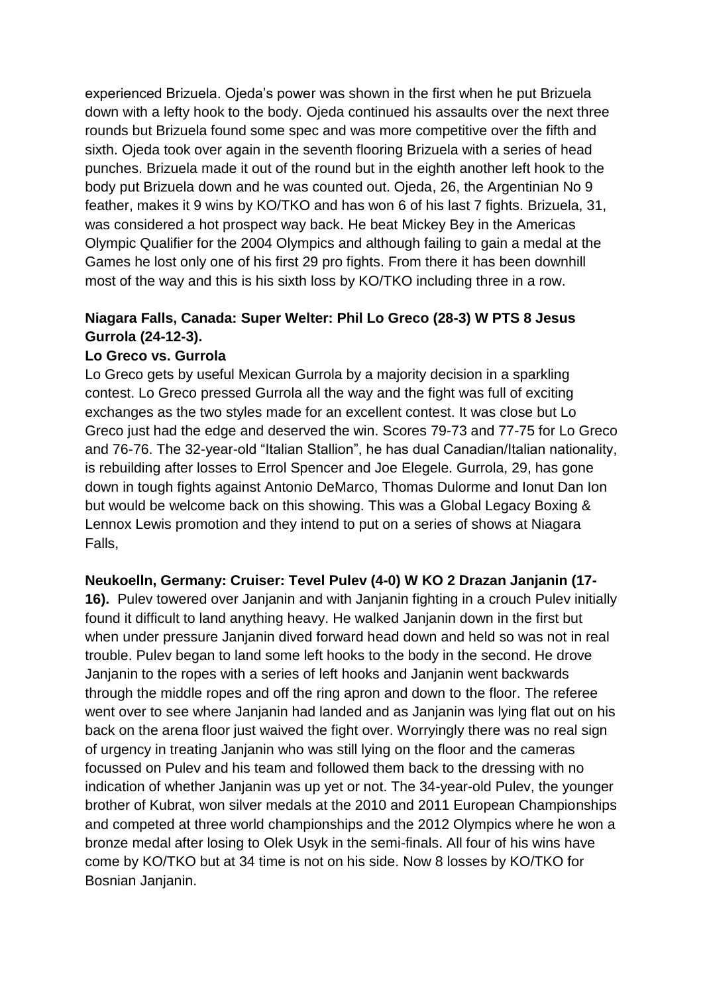experienced Brizuela. Ojeda's power was shown in the first when he put Brizuela down with a lefty hook to the body. Ojeda continued his assaults over the next three rounds but Brizuela found some spec and was more competitive over the fifth and sixth. Ojeda took over again in the seventh flooring Brizuela with a series of head punches. Brizuela made it out of the round but in the eighth another left hook to the body put Brizuela down and he was counted out. Ojeda, 26, the Argentinian No 9 feather, makes it 9 wins by KO/TKO and has won 6 of his last 7 fights. Brizuela, 31, was considered a hot prospect way back. He beat Mickey Bey in the Americas Olympic Qualifier for the 2004 Olympics and although failing to gain a medal at the Games he lost only one of his first 29 pro fights. From there it has been downhill most of the way and this is his sixth loss by KO/TKO including three in a row.

# **Niagara Falls, Canada: Super Welter: Phil Lo Greco (28-3) W PTS 8 Jesus Gurrola (24-12-3).**

## **Lo Greco vs. Gurrola**

Lo Greco gets by useful Mexican Gurrola by a majority decision in a sparkling contest. Lo Greco pressed Gurrola all the way and the fight was full of exciting exchanges as the two styles made for an excellent contest. It was close but Lo Greco just had the edge and deserved the win. Scores 79-73 and 77-75 for Lo Greco and 76-76. The 32-year-old "Italian Stallion", he has dual Canadian/Italian nationality, is rebuilding after losses to Errol Spencer and Joe Elegele. Gurrola, 29, has gone down in tough fights against Antonio DeMarco, Thomas Dulorme and Ionut Dan Ion but would be welcome back on this showing. This was a Global Legacy Boxing & Lennox Lewis promotion and they intend to put on a series of shows at Niagara Falls,

#### **Neukoelln, Germany: Cruiser: Tevel Pulev (4-0) W KO 2 Drazan Janjanin (17-**

**16).** Pulev towered over Janjanin and with Janjanin fighting in a crouch Pulev initially found it difficult to land anything heavy. He walked Janjanin down in the first but when under pressure Janjanin dived forward head down and held so was not in real trouble. Pulev began to land some left hooks to the body in the second. He drove Janjanin to the ropes with a series of left hooks and Janjanin went backwards through the middle ropes and off the ring apron and down to the floor. The referee went over to see where Janjanin had landed and as Janjanin was lying flat out on his back on the arena floor just waived the fight over. Worryingly there was no real sign of urgency in treating Janjanin who was still lying on the floor and the cameras focussed on Pulev and his team and followed them back to the dressing with no indication of whether Janjanin was up yet or not. The 34-year-old Pulev, the younger brother of Kubrat, won silver medals at the 2010 and 2011 European Championships and competed at three world championships and the 2012 Olympics where he won a bronze medal after losing to Olek Usyk in the semi-finals. All four of his wins have come by KO/TKO but at 34 time is not on his side. Now 8 losses by KO/TKO for Bosnian Janjanin.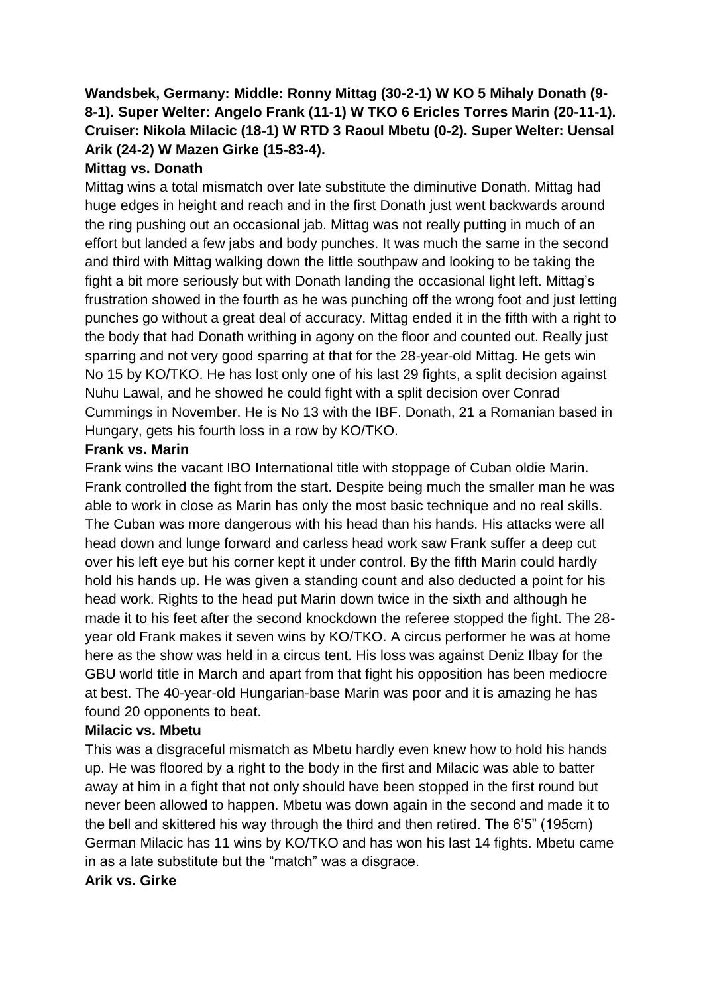# **Wandsbek, Germany: Middle: Ronny Mittag (30-2-1) W KO 5 Mihaly Donath (9- 8-1). Super Welter: Angelo Frank (11-1) W TKO 6 Ericles Torres Marin (20-11-1). Cruiser: Nikola Milacic (18-1) W RTD 3 Raoul Mbetu (0-2). Super Welter: Uensal Arik (24-2) W Mazen Girke (15-83-4).**

## **Mittag vs. Donath**

Mittag wins a total mismatch over late substitute the diminutive Donath. Mittag had huge edges in height and reach and in the first Donath just went backwards around the ring pushing out an occasional jab. Mittag was not really putting in much of an effort but landed a few jabs and body punches. It was much the same in the second and third with Mittag walking down the little southpaw and looking to be taking the fight a bit more seriously but with Donath landing the occasional light left. Mittag's frustration showed in the fourth as he was punching off the wrong foot and just letting punches go without a great deal of accuracy. Mittag ended it in the fifth with a right to the body that had Donath writhing in agony on the floor and counted out. Really just sparring and not very good sparring at that for the 28-year-old Mittag. He gets win No 15 by KO/TKO. He has lost only one of his last 29 fights, a split decision against Nuhu Lawal, and he showed he could fight with a split decision over Conrad Cummings in November. He is No 13 with the IBF. Donath, 21 a Romanian based in Hungary, gets his fourth loss in a row by KO/TKO.

#### **Frank vs. Marin**

Frank wins the vacant IBO International title with stoppage of Cuban oldie Marin. Frank controlled the fight from the start. Despite being much the smaller man he was able to work in close as Marin has only the most basic technique and no real skills. The Cuban was more dangerous with his head than his hands. His attacks were all head down and lunge forward and carless head work saw Frank suffer a deep cut over his left eye but his corner kept it under control. By the fifth Marin could hardly hold his hands up. He was given a standing count and also deducted a point for his head work. Rights to the head put Marin down twice in the sixth and although he made it to his feet after the second knockdown the referee stopped the fight. The 28 year old Frank makes it seven wins by KO/TKO. A circus performer he was at home here as the show was held in a circus tent. His loss was against Deniz Ilbay for the GBU world title in March and apart from that fight his opposition has been mediocre at best. The 40-year-old Hungarian-base Marin was poor and it is amazing he has found 20 opponents to beat.

## **Milacic vs. Mbetu**

This was a disgraceful mismatch as Mbetu hardly even knew how to hold his hands up. He was floored by a right to the body in the first and Milacic was able to batter away at him in a fight that not only should have been stopped in the first round but never been allowed to happen. Mbetu was down again in the second and made it to the bell and skittered his way through the third and then retired. The 6'5" (195cm) German Milacic has 11 wins by KO/TKO and has won his last 14 fights. Mbetu came in as a late substitute but the "match" was a disgrace.

## **Arik vs. Girke**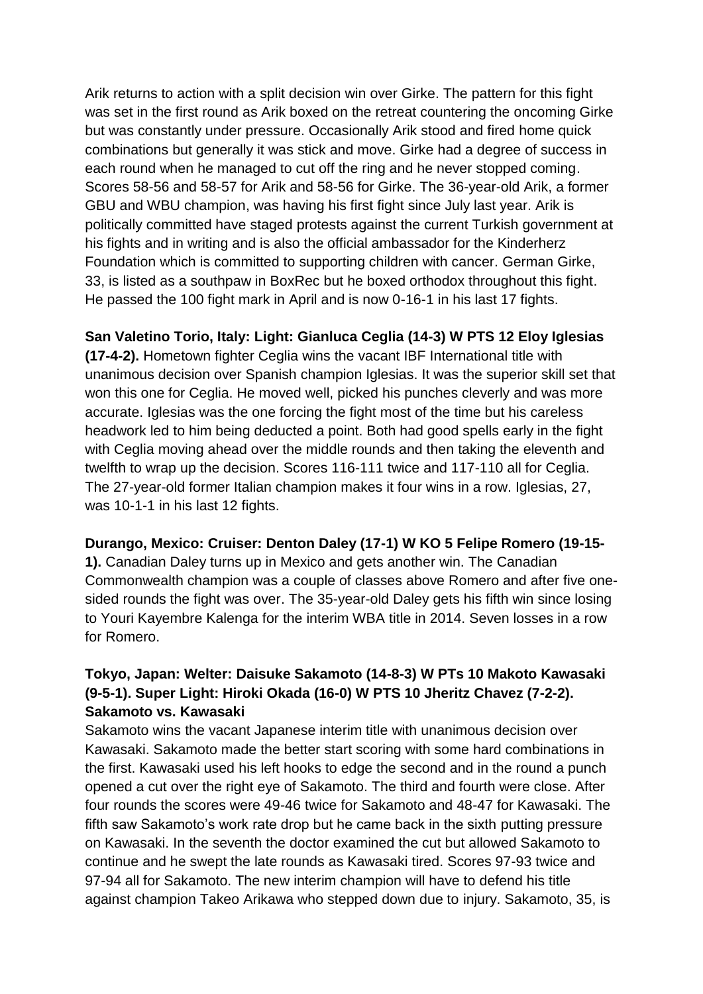Arik returns to action with a split decision win over Girke. The pattern for this fight was set in the first round as Arik boxed on the retreat countering the oncoming Girke but was constantly under pressure. Occasionally Arik stood and fired home quick combinations but generally it was stick and move. Girke had a degree of success in each round when he managed to cut off the ring and he never stopped coming. Scores 58-56 and 58-57 for Arik and 58-56 for Girke. The 36-year-old Arik, a former GBU and WBU champion, was having his first fight since July last year. Arik is politically committed have staged protests against the current Turkish government at his fights and in writing and is also the official ambassador for the Kinderherz Foundation which is committed to supporting children with cancer. German Girke, 33, is listed as a southpaw in BoxRec but he boxed orthodox throughout this fight. He passed the 100 fight mark in April and is now 0-16-1 in his last 17 fights.

**San Valetino Torio, Italy: Light: Gianluca Ceglia (14-3) W PTS 12 Eloy Iglesias** 

**(17-4-2).** Hometown fighter Ceglia wins the vacant IBF International title with unanimous decision over Spanish champion Iglesias. It was the superior skill set that won this one for Ceglia. He moved well, picked his punches cleverly and was more accurate. Iglesias was the one forcing the fight most of the time but his careless headwork led to him being deducted a point. Both had good spells early in the fight with Ceglia moving ahead over the middle rounds and then taking the eleventh and twelfth to wrap up the decision. Scores 116-111 twice and 117-110 all for Ceglia. The 27-year-old former Italian champion makes it four wins in a row. Iglesias, 27, was 10-1-1 in his last 12 fights.

## **Durango, Mexico: Cruiser: Denton Daley (17-1) W KO 5 Felipe Romero (19-15-**

**1).** Canadian Daley turns up in Mexico and gets another win. The Canadian Commonwealth champion was a couple of classes above Romero and after five onesided rounds the fight was over. The 35-year-old Daley gets his fifth win since losing to Youri Kayembre Kalenga for the interim WBA title in 2014. Seven losses in a row for Romero.

# **Tokyo, Japan: Welter: Daisuke Sakamoto (14-8-3) W PTs 10 Makoto Kawasaki (9-5-1). Super Light: Hiroki Okada (16-0) W PTS 10 Jheritz Chavez (7-2-2). Sakamoto vs. Kawasaki**

Sakamoto wins the vacant Japanese interim title with unanimous decision over Kawasaki. Sakamoto made the better start scoring with some hard combinations in the first. Kawasaki used his left hooks to edge the second and in the round a punch opened a cut over the right eye of Sakamoto. The third and fourth were close. After four rounds the scores were 49-46 twice for Sakamoto and 48-47 for Kawasaki. The fifth saw Sakamoto's work rate drop but he came back in the sixth putting pressure on Kawasaki. In the seventh the doctor examined the cut but allowed Sakamoto to continue and he swept the late rounds as Kawasaki tired. Scores 97-93 twice and 97-94 all for Sakamoto. The new interim champion will have to defend his title against champion Takeo Arikawa who stepped down due to injury. Sakamoto, 35, is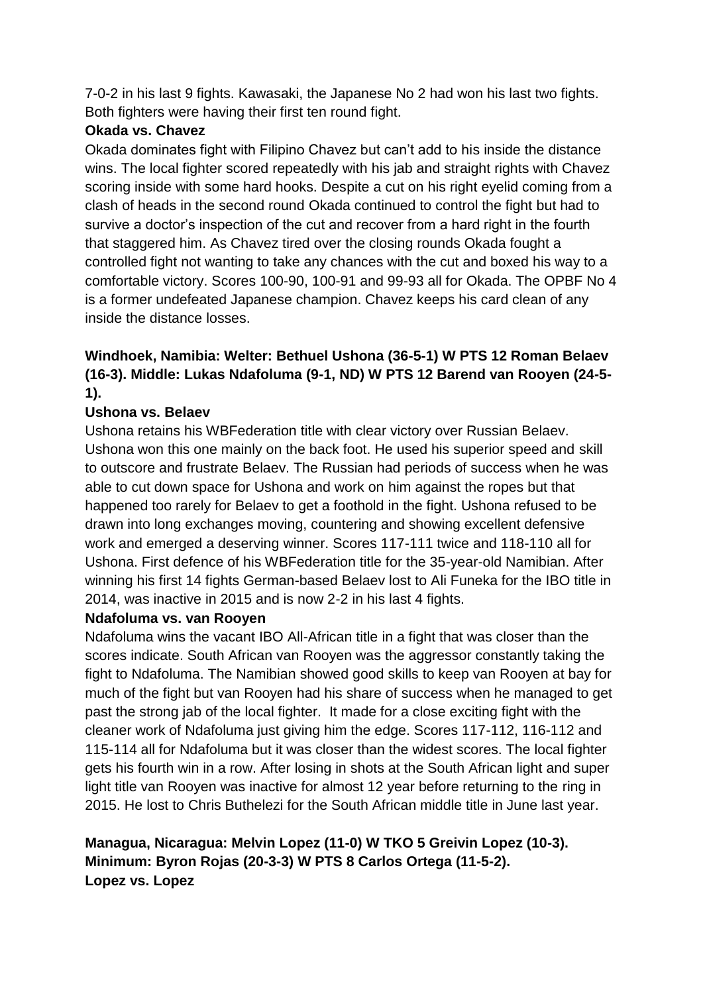7-0-2 in his last 9 fights. Kawasaki, the Japanese No 2 had won his last two fights. Both fighters were having their first ten round fight.

## **Okada vs. Chavez**

Okada dominates fight with Filipino Chavez but can't add to his inside the distance wins. The local fighter scored repeatedly with his jab and straight rights with Chavez scoring inside with some hard hooks. Despite a cut on his right eyelid coming from a clash of heads in the second round Okada continued to control the fight but had to survive a doctor's inspection of the cut and recover from a hard right in the fourth that staggered him. As Chavez tired over the closing rounds Okada fought a controlled fight not wanting to take any chances with the cut and boxed his way to a comfortable victory. Scores 100-90, 100-91 and 99-93 all for Okada. The OPBF No 4 is a former undefeated Japanese champion. Chavez keeps his card clean of any inside the distance losses.

# **Windhoek, Namibia: Welter: Bethuel Ushona (36-5-1) W PTS 12 Roman Belaev (16-3). Middle: Lukas Ndafoluma (9-1, ND) W PTS 12 Barend van Rooyen (24-5- 1).**

## **Ushona vs. Belaev**

Ushona retains his WBFederation title with clear victory over Russian Belaev. Ushona won this one mainly on the back foot. He used his superior speed and skill to outscore and frustrate Belaev. The Russian had periods of success when he was able to cut down space for Ushona and work on him against the ropes but that happened too rarely for Belaev to get a foothold in the fight. Ushona refused to be drawn into long exchanges moving, countering and showing excellent defensive work and emerged a deserving winner. Scores 117-111 twice and 118-110 all for Ushona. First defence of his WBFederation title for the 35-year-old Namibian. After winning his first 14 fights German-based Belaev lost to Ali Funeka for the IBO title in 2014, was inactive in 2015 and is now 2-2 in his last 4 fights.

## **Ndafoluma vs. van Rooyen**

Ndafoluma wins the vacant IBO All-African title in a fight that was closer than the scores indicate. South African van Rooyen was the aggressor constantly taking the fight to Ndafoluma. The Namibian showed good skills to keep van Rooyen at bay for much of the fight but van Rooyen had his share of success when he managed to get past the strong jab of the local fighter. It made for a close exciting fight with the cleaner work of Ndafoluma just giving him the edge. Scores 117-112, 116-112 and 115-114 all for Ndafoluma but it was closer than the widest scores. The local fighter gets his fourth win in a row. After losing in shots at the South African light and super light title van Rooyen was inactive for almost 12 year before returning to the ring in 2015. He lost to Chris Buthelezi for the South African middle title in June last year.

## **Managua, Nicaragua: Melvin Lopez (11-0) W TKO 5 Greivin Lopez (10-3). Minimum: Byron Rojas (20-3-3) W PTS 8 Carlos Ortega (11-5-2). Lopez vs. Lopez**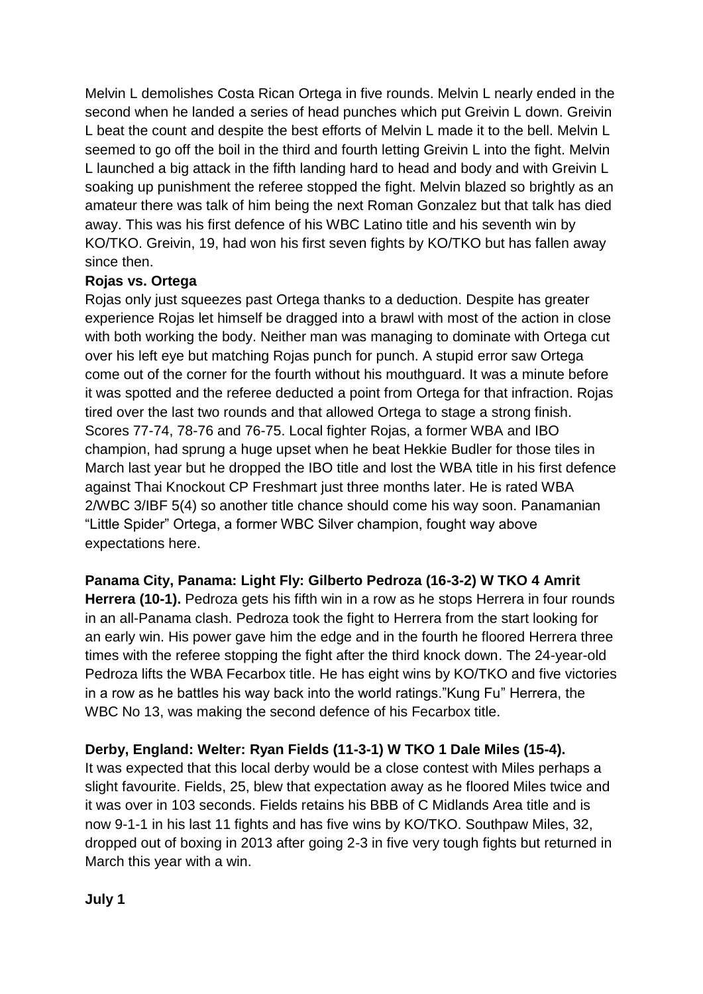Melvin L demolishes Costa Rican Ortega in five rounds. Melvin L nearly ended in the second when he landed a series of head punches which put Greivin L down. Greivin L beat the count and despite the best efforts of Melvin L made it to the bell. Melvin L seemed to go off the boil in the third and fourth letting Greivin L into the fight. Melvin L launched a big attack in the fifth landing hard to head and body and with Greivin L soaking up punishment the referee stopped the fight. Melvin blazed so brightly as an amateur there was talk of him being the next Roman Gonzalez but that talk has died away. This was his first defence of his WBC Latino title and his seventh win by KO/TKO. Greivin, 19, had won his first seven fights by KO/TKO but has fallen away since then.

## **Rojas vs. Ortega**

Rojas only just squeezes past Ortega thanks to a deduction. Despite has greater experience Rojas let himself be dragged into a brawl with most of the action in close with both working the body. Neither man was managing to dominate with Ortega cut over his left eye but matching Rojas punch for punch. A stupid error saw Ortega come out of the corner for the fourth without his mouthguard. It was a minute before it was spotted and the referee deducted a point from Ortega for that infraction. Rojas tired over the last two rounds and that allowed Ortega to stage a strong finish. Scores 77-74, 78-76 and 76-75. Local fighter Rojas, a former WBA and IBO champion, had sprung a huge upset when he beat Hekkie Budler for those tiles in March last year but he dropped the IBO title and lost the WBA title in his first defence against Thai Knockout CP Freshmart just three months later. He is rated WBA 2/WBC 3/IBF 5(4) so another title chance should come his way soon. Panamanian "Little Spider" Ortega, a former WBC Silver champion, fought way above expectations here.

**Panama City, Panama: Light Fly: Gilberto Pedroza (16-3-2) W TKO 4 Amrit Herrera (10-1).** Pedroza gets his fifth win in a row as he stops Herrera in four rounds in an all-Panama clash. Pedroza took the fight to Herrera from the start looking for an early win. His power gave him the edge and in the fourth he floored Herrera three times with the referee stopping the fight after the third knock down. The 24-year-old Pedroza lifts the WBA Fecarbox title. He has eight wins by KO/TKO and five victories in a row as he battles his way back into the world ratings."Kung Fu" Herrera, the WBC No 13, was making the second defence of his Fecarbox title.

## **Derby, England: Welter: Ryan Fields (11-3-1) W TKO 1 Dale Miles (15-4).**

It was expected that this local derby would be a close contest with Miles perhaps a slight favourite. Fields, 25, blew that expectation away as he floored Miles twice and it was over in 103 seconds. Fields retains his BBB of C Midlands Area title and is now 9-1-1 in his last 11 fights and has five wins by KO/TKO. Southpaw Miles, 32, dropped out of boxing in 2013 after going 2-3 in five very tough fights but returned in March this year with a win.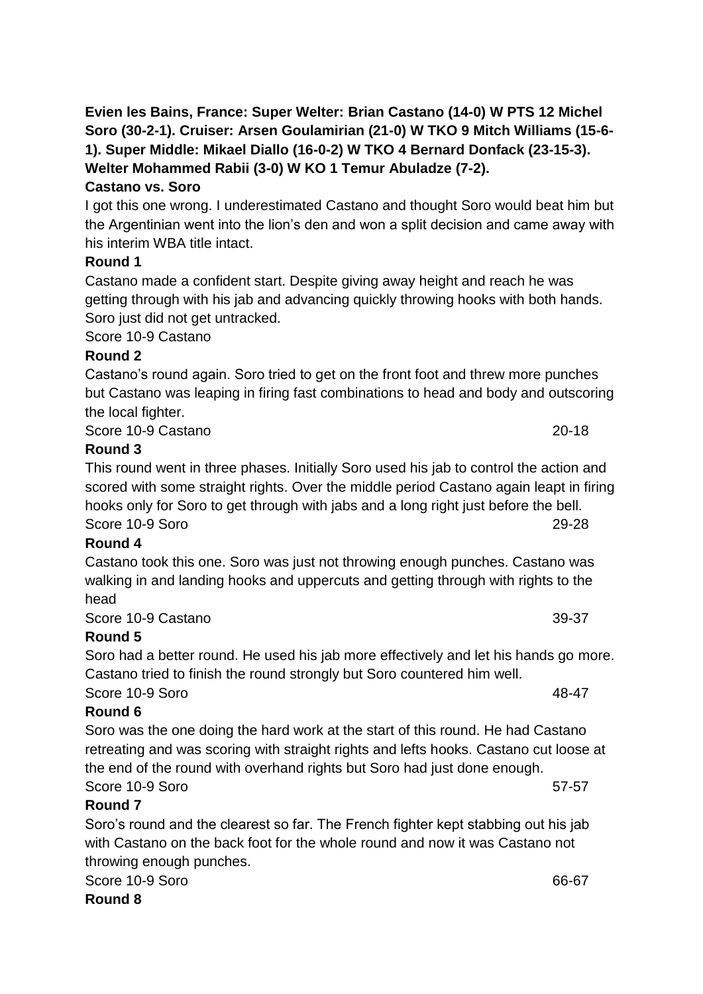# **Castano vs. Soro**

I got this one wrong. I underestimated Castano and thought Soro would beat him but the Argentinian went into the lion's den and won a split decision and came away with his interim WBA title intact.

# **Round 1**

Castano made a confident start. Despite giving away height and reach he was getting through with his jab and advancing quickly throwing hooks with both hands. Soro just did not get untracked.

Score 10-9 Castano

# **Round 2**

Castano's round again. Soro tried to get on the front foot and threw more punches but Castano was leaping in firing fast combinations to head and body and outscoring the local fighter.

Score 10-9 Castano 20-18

# **Round 3**

This round went in three phases. Initially Soro used his jab to control the action and scored with some straight rights. Over the middle period Castano again leapt in firing hooks only for Soro to get through with jabs and a long right just before the bell. Score 10-9 Soro 29-28

# **Round 4**

Castano took this one. Soro was just not throwing enough punches. Castano was walking in and landing hooks and uppercuts and getting through with rights to the head

Score 10-9 Castano 39-37

# **Round 5**

Soro had a better round. He used his jab more effectively and let his hands go more. Castano tried to finish the round strongly but Soro countered him well.

Score 10-9 Soro 48-47

# **Round 6**

Soro was the one doing the hard work at the start of this round. He had Castano retreating and was scoring with straight rights and lefts hooks. Castano cut loose at the end of the round with overhand rights but Soro had just done enough. Score 10-9 Soro 57-57

# **Round 7**

Soro's round and the clearest so far. The French fighter kept stabbing out his jab with Castano on the back foot for the whole round and now it was Castano not throwing enough punches.

Score 10-9 Soro 66-67

# **Round 8**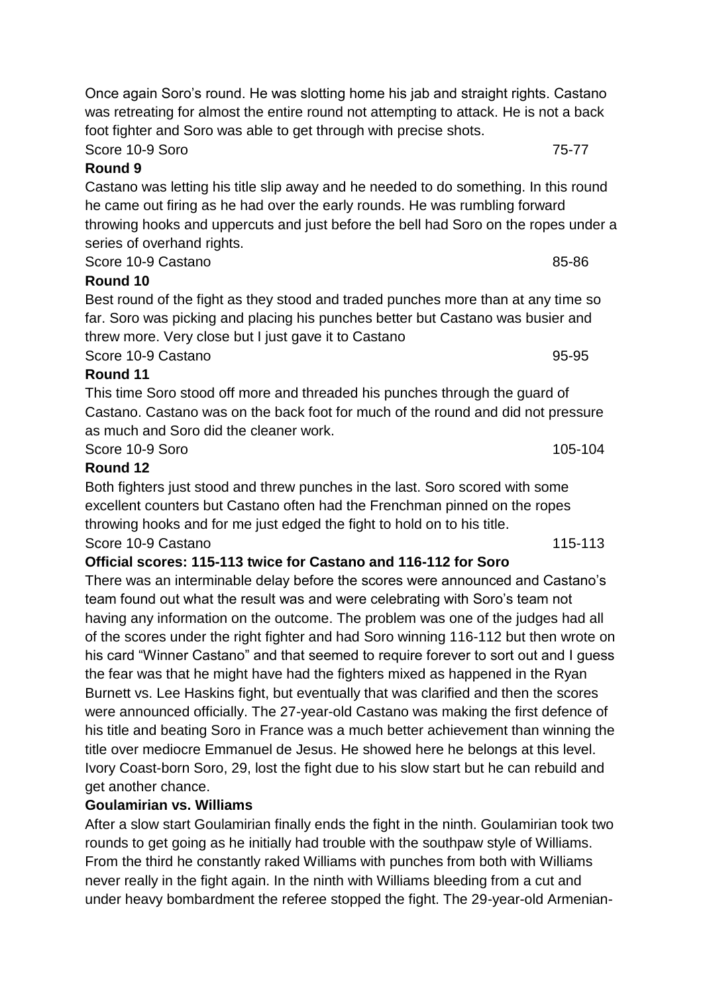Once again Soro's round. He was slotting home his jab and straight rights. Castano was retreating for almost the entire round not attempting to attack. He is not a back foot fighter and Soro was able to get through with precise shots.

**Round 9** Castano was letting his title slip away and he needed to do something. In this round he came out firing as he had over the early rounds. He was rumbling forward throwing hooks and uppercuts and just before the bell had Soro on the ropes under a series of overhand rights.

Score 10-9 Castano 85-86

# **Round 10**

Best round of the fight as they stood and traded punches more than at any time so far. Soro was picking and placing his punches better but Castano was busier and threw more. Very close but I just gave it to Castano Score 10-9 Castano 95-95

**Round 11**

This time Soro stood off more and threaded his punches through the guard of Castano. Castano was on the back foot for much of the round and did not pressure as much and Soro did the cleaner work.

Score 10-9 Soro 105-104

## **Round 12**

Both fighters just stood and threw punches in the last. Soro scored with some excellent counters but Castano often had the Frenchman pinned on the ropes throwing hooks and for me just edged the fight to hold on to his title. Score 10-9 Castano 115-113

## **Official scores: 115-113 twice for Castano and 116-112 for Soro**

There was an interminable delay before the scores were announced and Castano's team found out what the result was and were celebrating with Soro's team not having any information on the outcome. The problem was one of the judges had all of the scores under the right fighter and had Soro winning 116-112 but then wrote on his card "Winner Castano" and that seemed to require forever to sort out and I guess the fear was that he might have had the fighters mixed as happened in the Ryan Burnett vs. Lee Haskins fight, but eventually that was clarified and then the scores were announced officially. The 27-year-old Castano was making the first defence of his title and beating Soro in France was a much better achievement than winning the title over mediocre Emmanuel de Jesus. He showed here he belongs at this level. Ivory Coast-born Soro, 29, lost the fight due to his slow start but he can rebuild and get another chance.

# **Goulamirian vs. Williams**

After a slow start Goulamirian finally ends the fight in the ninth. Goulamirian took two rounds to get going as he initially had trouble with the southpaw style of Williams. From the third he constantly raked Williams with punches from both with Williams never really in the fight again. In the ninth with Williams bleeding from a cut and under heavy bombardment the referee stopped the fight. The 29-year-old Armenian-

Score 10-9 Soro 75-77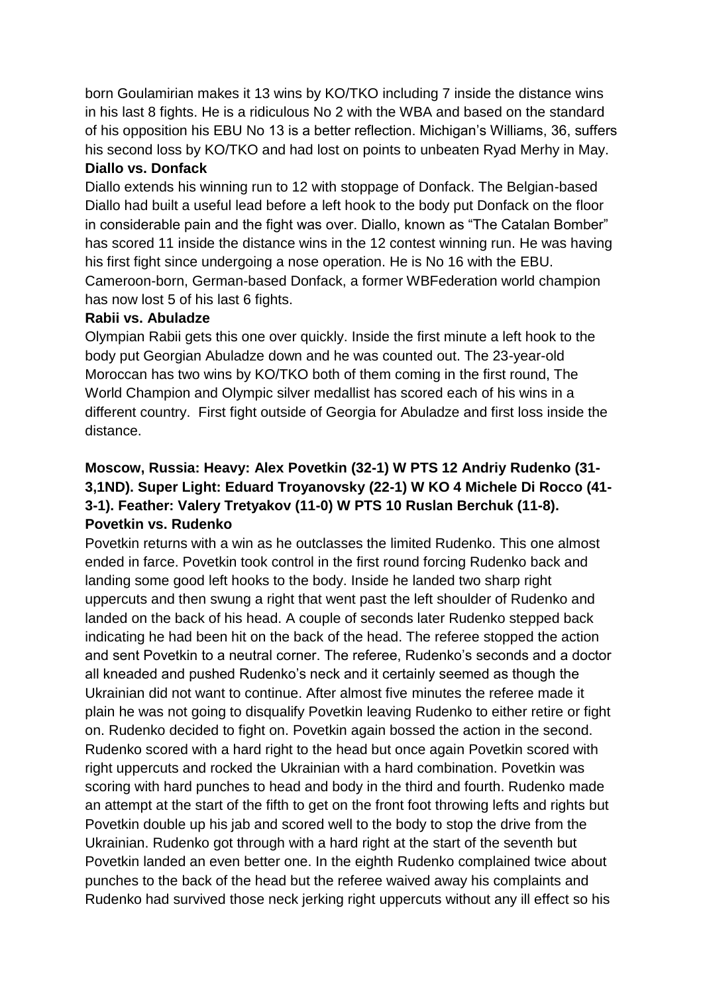born Goulamirian makes it 13 wins by KO/TKO including 7 inside the distance wins in his last 8 fights. He is a ridiculous No 2 with the WBA and based on the standard of his opposition his EBU No 13 is a better reflection. Michigan's Williams, 36, suffers his second loss by KO/TKO and had lost on points to unbeaten Ryad Merhy in May. **Diallo vs. Donfack**

Diallo extends his winning run to 12 with stoppage of Donfack. The Belgian-based Diallo had built a useful lead before a left hook to the body put Donfack on the floor in considerable pain and the fight was over. Diallo, known as "The Catalan Bomber" has scored 11 inside the distance wins in the 12 contest winning run. He was having his first fight since undergoing a nose operation. He is No 16 with the EBU. Cameroon-born, German-based Donfack, a former WBFederation world champion has now lost 5 of his last 6 fights.

#### **Rabii vs. Abuladze**

Olympian Rabii gets this one over quickly. Inside the first minute a left hook to the body put Georgian Abuladze down and he was counted out. The 23-year-old Moroccan has two wins by KO/TKO both of them coming in the first round, The World Champion and Olympic silver medallist has scored each of his wins in a different country. First fight outside of Georgia for Abuladze and first loss inside the distance.

# **Moscow, Russia: Heavy: Alex Povetkin (32-1) W PTS 12 Andriy Rudenko (31- 3,1ND). Super Light: Eduard Troyanovsky (22-1) W KO 4 Michele Di Rocco (41- 3-1). Feather: Valery Tretyakov (11-0) W PTS 10 Ruslan Berchuk (11-8). Povetkin vs. Rudenko**

Povetkin returns with a win as he outclasses the limited Rudenko. This one almost ended in farce. Povetkin took control in the first round forcing Rudenko back and landing some good left hooks to the body. Inside he landed two sharp right uppercuts and then swung a right that went past the left shoulder of Rudenko and landed on the back of his head. A couple of seconds later Rudenko stepped back indicating he had been hit on the back of the head. The referee stopped the action and sent Povetkin to a neutral corner. The referee, Rudenko's seconds and a doctor all kneaded and pushed Rudenko's neck and it certainly seemed as though the Ukrainian did not want to continue. After almost five minutes the referee made it plain he was not going to disqualify Povetkin leaving Rudenko to either retire or fight on. Rudenko decided to fight on. Povetkin again bossed the action in the second. Rudenko scored with a hard right to the head but once again Povetkin scored with right uppercuts and rocked the Ukrainian with a hard combination. Povetkin was scoring with hard punches to head and body in the third and fourth. Rudenko made an attempt at the start of the fifth to get on the front foot throwing lefts and rights but Povetkin double up his jab and scored well to the body to stop the drive from the Ukrainian. Rudenko got through with a hard right at the start of the seventh but Povetkin landed an even better one. In the eighth Rudenko complained twice about punches to the back of the head but the referee waived away his complaints and Rudenko had survived those neck jerking right uppercuts without any ill effect so his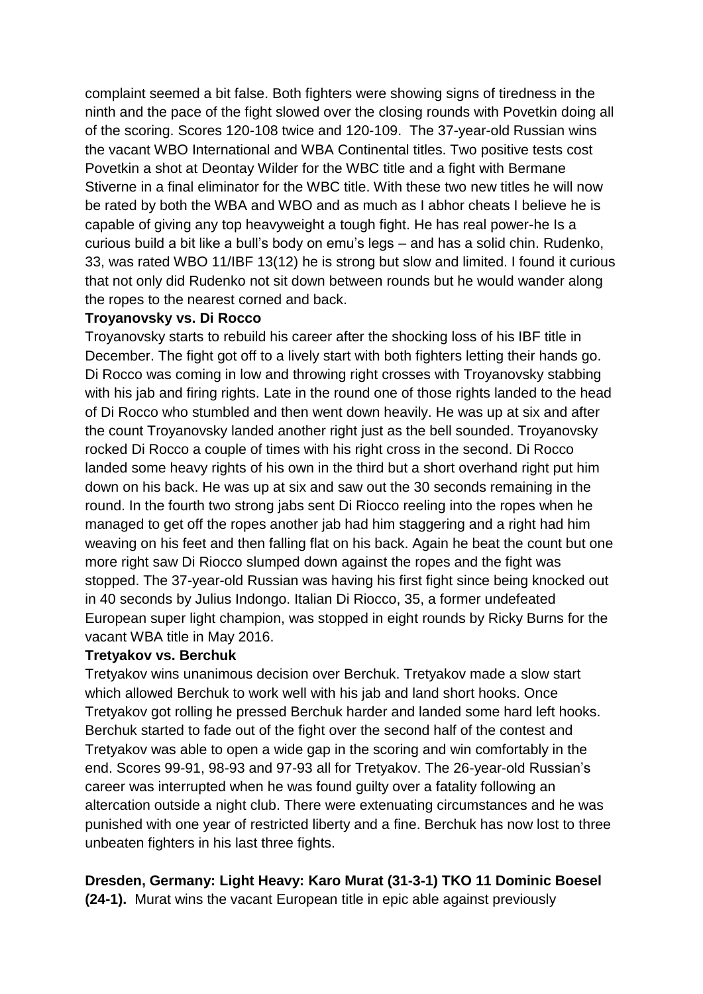complaint seemed a bit false. Both fighters were showing signs of tiredness in the ninth and the pace of the fight slowed over the closing rounds with Povetkin doing all of the scoring. Scores 120-108 twice and 120-109. The 37-year-old Russian wins the vacant WBO International and WBA Continental titles. Two positive tests cost Povetkin a shot at Deontay Wilder for the WBC title and a fight with Bermane Stiverne in a final eliminator for the WBC title. With these two new titles he will now be rated by both the WBA and WBO and as much as I abhor cheats I believe he is capable of giving any top heavyweight a tough fight. He has real power-he Is a curious build a bit like a bull's body on emu's legs – and has a solid chin. Rudenko, 33, was rated WBO 11/IBF 13(12) he is strong but slow and limited. I found it curious that not only did Rudenko not sit down between rounds but he would wander along the ropes to the nearest corned and back.

#### **Troyanovsky vs. Di Rocco**

Troyanovsky starts to rebuild his career after the shocking loss of his IBF title in December. The fight got off to a lively start with both fighters letting their hands go. Di Rocco was coming in low and throwing right crosses with Troyanovsky stabbing with his jab and firing rights. Late in the round one of those rights landed to the head of Di Rocco who stumbled and then went down heavily. He was up at six and after the count Troyanovsky landed another right just as the bell sounded. Troyanovsky rocked Di Rocco a couple of times with his right cross in the second. Di Rocco landed some heavy rights of his own in the third but a short overhand right put him down on his back. He was up at six and saw out the 30 seconds remaining in the round. In the fourth two strong jabs sent Di Riocco reeling into the ropes when he managed to get off the ropes another jab had him staggering and a right had him weaving on his feet and then falling flat on his back. Again he beat the count but one more right saw Di Riocco slumped down against the ropes and the fight was stopped. The 37-year-old Russian was having his first fight since being knocked out in 40 seconds by Julius Indongo. Italian Di Riocco, 35, a former undefeated European super light champion, was stopped in eight rounds by Ricky Burns for the vacant WBA title in May 2016.

#### **Tretyakov vs. Berchuk**

Tretyakov wins unanimous decision over Berchuk. Tretyakov made a slow start which allowed Berchuk to work well with his jab and land short hooks. Once Tretyakov got rolling he pressed Berchuk harder and landed some hard left hooks. Berchuk started to fade out of the fight over the second half of the contest and Tretyakov was able to open a wide gap in the scoring and win comfortably in the end. Scores 99-91, 98-93 and 97-93 all for Tretyakov. The 26-year-old Russian's career was interrupted when he was found guilty over a fatality following an altercation outside a night club. There were extenuating circumstances and he was punished with one year of restricted liberty and a fine. Berchuk has now lost to three unbeaten fighters in his last three fights.

## **Dresden, Germany: Light Heavy: Karo Murat (31-3-1) TKO 11 Dominic Boesel**

**(24-1).** Murat wins the vacant European title in epic able against previously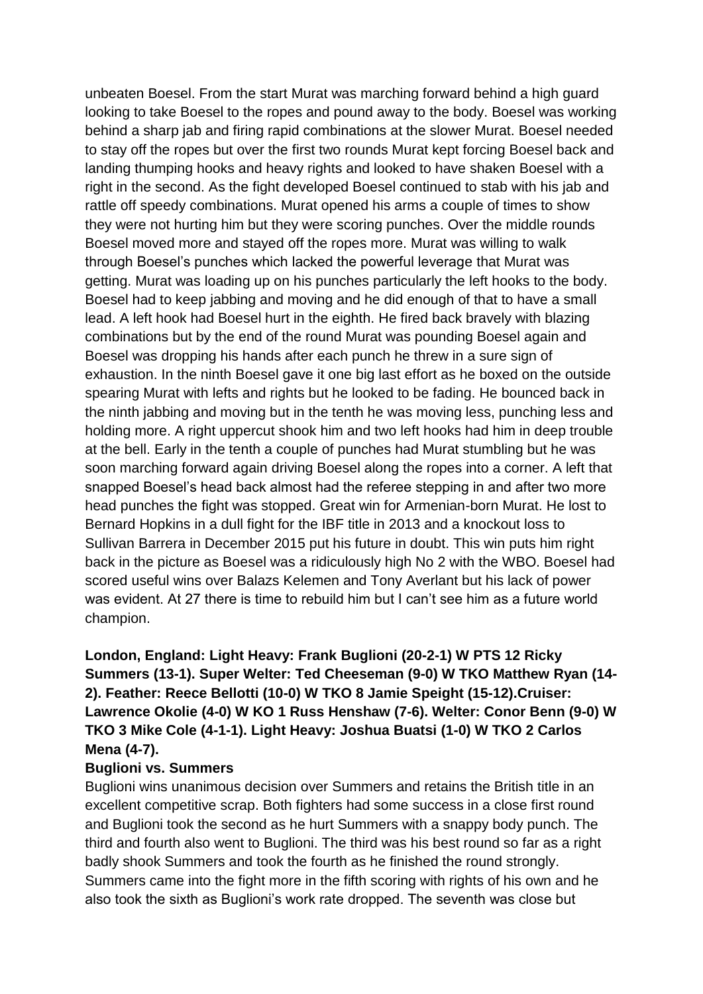unbeaten Boesel. From the start Murat was marching forward behind a high guard looking to take Boesel to the ropes and pound away to the body. Boesel was working behind a sharp jab and firing rapid combinations at the slower Murat. Boesel needed to stay off the ropes but over the first two rounds Murat kept forcing Boesel back and landing thumping hooks and heavy rights and looked to have shaken Boesel with a right in the second. As the fight developed Boesel continued to stab with his jab and rattle off speedy combinations. Murat opened his arms a couple of times to show they were not hurting him but they were scoring punches. Over the middle rounds Boesel moved more and stayed off the ropes more. Murat was willing to walk through Boesel's punches which lacked the powerful leverage that Murat was getting. Murat was loading up on his punches particularly the left hooks to the body. Boesel had to keep jabbing and moving and he did enough of that to have a small lead. A left hook had Boesel hurt in the eighth. He fired back bravely with blazing combinations but by the end of the round Murat was pounding Boesel again and Boesel was dropping his hands after each punch he threw in a sure sign of exhaustion. In the ninth Boesel gave it one big last effort as he boxed on the outside spearing Murat with lefts and rights but he looked to be fading. He bounced back in the ninth jabbing and moving but in the tenth he was moving less, punching less and holding more. A right uppercut shook him and two left hooks had him in deep trouble at the bell. Early in the tenth a couple of punches had Murat stumbling but he was soon marching forward again driving Boesel along the ropes into a corner. A left that snapped Boesel's head back almost had the referee stepping in and after two more head punches the fight was stopped. Great win for Armenian-born Murat. He lost to Bernard Hopkins in a dull fight for the IBF title in 2013 and a knockout loss to Sullivan Barrera in December 2015 put his future in doubt. This win puts him right back in the picture as Boesel was a ridiculously high No 2 with the WBO. Boesel had scored useful wins over Balazs Kelemen and Tony Averlant but his lack of power was evident. At 27 there is time to rebuild him but I can't see him as a future world champion.

# **London, England: Light Heavy: Frank Buglioni (20-2-1) W PTS 12 Ricky Summers (13-1). Super Welter: Ted Cheeseman (9-0) W TKO Matthew Ryan (14- 2). Feather: Reece Bellotti (10-0) W TKO 8 Jamie Speight (15-12).Cruiser: Lawrence Okolie (4-0) W KO 1 Russ Henshaw (7-6). Welter: Conor Benn (9-0) W TKO 3 Mike Cole (4-1-1). Light Heavy: Joshua Buatsi (1-0) W TKO 2 Carlos Mena (4-7).**

#### **Buglioni vs. Summers**

Buglioni wins unanimous decision over Summers and retains the British title in an excellent competitive scrap. Both fighters had some success in a close first round and Buglioni took the second as he hurt Summers with a snappy body punch. The third and fourth also went to Buglioni. The third was his best round so far as a right badly shook Summers and took the fourth as he finished the round strongly. Summers came into the fight more in the fifth scoring with rights of his own and he also took the sixth as Buglioni's work rate dropped. The seventh was close but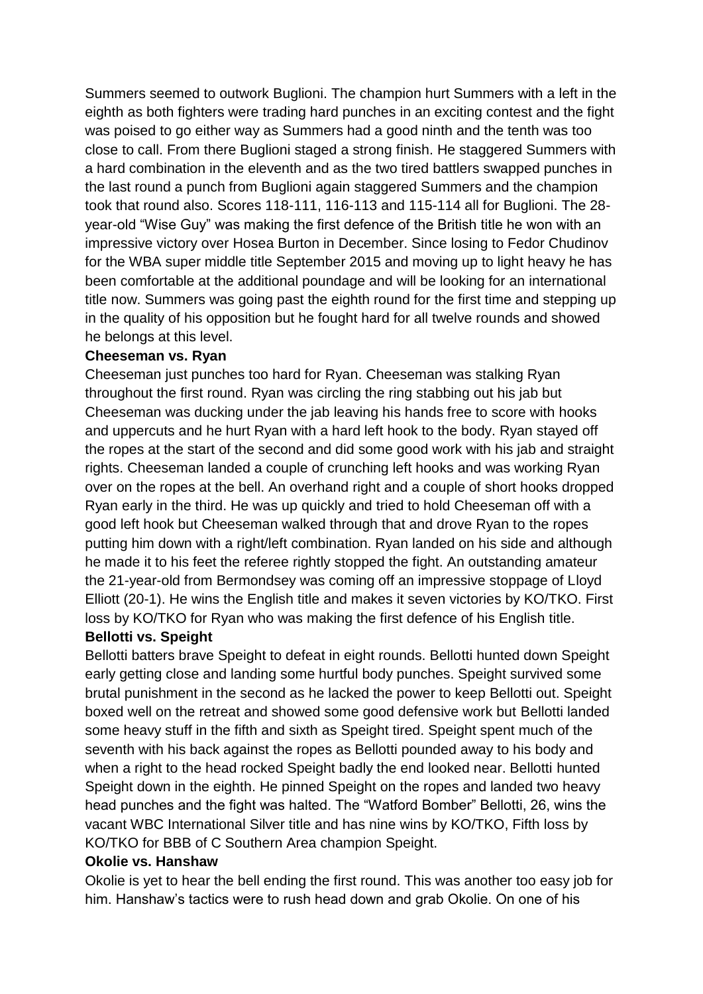Summers seemed to outwork Buglioni. The champion hurt Summers with a left in the eighth as both fighters were trading hard punches in an exciting contest and the fight was poised to go either way as Summers had a good ninth and the tenth was too close to call. From there Buglioni staged a strong finish. He staggered Summers with a hard combination in the eleventh and as the two tired battlers swapped punches in the last round a punch from Buglioni again staggered Summers and the champion took that round also. Scores 118-111, 116-113 and 115-114 all for Buglioni. The 28 year-old "Wise Guy" was making the first defence of the British title he won with an impressive victory over Hosea Burton in December. Since losing to Fedor Chudinov for the WBA super middle title September 2015 and moving up to light heavy he has been comfortable at the additional poundage and will be looking for an international title now. Summers was going past the eighth round for the first time and stepping up in the quality of his opposition but he fought hard for all twelve rounds and showed he belongs at this level.

#### **Cheeseman vs. Ryan**

Cheeseman just punches too hard for Ryan. Cheeseman was stalking Ryan throughout the first round. Ryan was circling the ring stabbing out his jab but Cheeseman was ducking under the jab leaving his hands free to score with hooks and uppercuts and he hurt Ryan with a hard left hook to the body. Ryan stayed off the ropes at the start of the second and did some good work with his jab and straight rights. Cheeseman landed a couple of crunching left hooks and was working Ryan over on the ropes at the bell. An overhand right and a couple of short hooks dropped Ryan early in the third. He was up quickly and tried to hold Cheeseman off with a good left hook but Cheeseman walked through that and drove Ryan to the ropes putting him down with a right/left combination. Ryan landed on his side and although he made it to his feet the referee rightly stopped the fight. An outstanding amateur the 21-year-old from Bermondsey was coming off an impressive stoppage of Lloyd Elliott (20-1). He wins the English title and makes it seven victories by KO/TKO. First loss by KO/TKO for Ryan who was making the first defence of his English title.

## **Bellotti vs. Speight**

Bellotti batters brave Speight to defeat in eight rounds. Bellotti hunted down Speight early getting close and landing some hurtful body punches. Speight survived some brutal punishment in the second as he lacked the power to keep Bellotti out. Speight boxed well on the retreat and showed some good defensive work but Bellotti landed some heavy stuff in the fifth and sixth as Speight tired. Speight spent much of the seventh with his back against the ropes as Bellotti pounded away to his body and when a right to the head rocked Speight badly the end looked near. Bellotti hunted Speight down in the eighth. He pinned Speight on the ropes and landed two heavy head punches and the fight was halted. The "Watford Bomber" Bellotti, 26, wins the vacant WBC International Silver title and has nine wins by KO/TKO, Fifth loss by KO/TKO for BBB of C Southern Area champion Speight.

#### **Okolie vs. Hanshaw**

Okolie is yet to hear the bell ending the first round. This was another too easy job for him. Hanshaw's tactics were to rush head down and grab Okolie. On one of his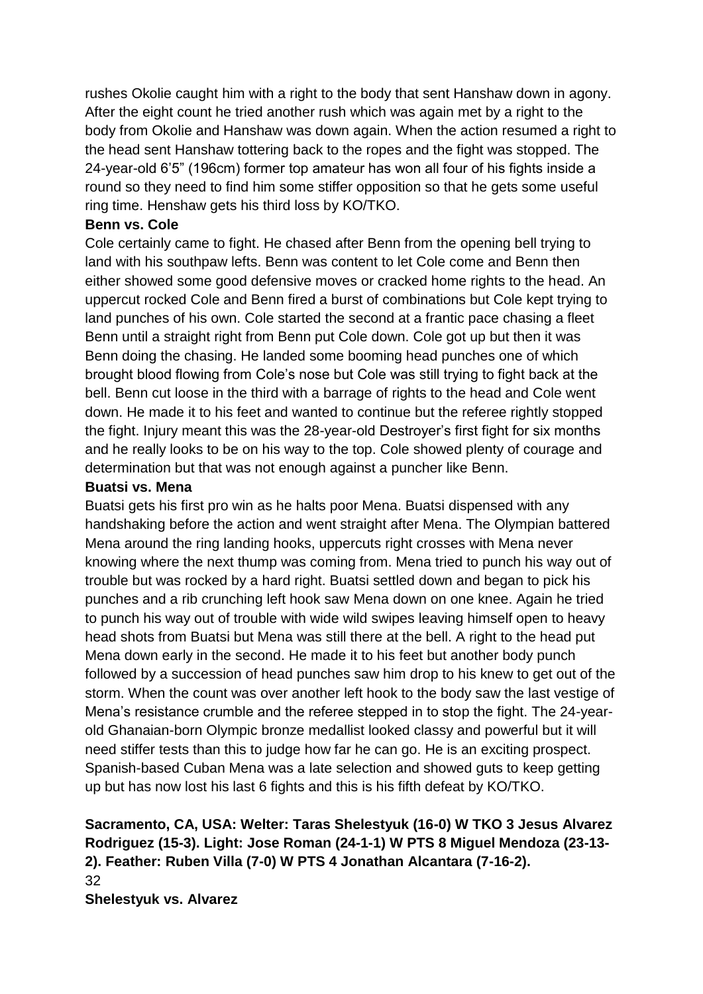rushes Okolie caught him with a right to the body that sent Hanshaw down in agony. After the eight count he tried another rush which was again met by a right to the body from Okolie and Hanshaw was down again. When the action resumed a right to the head sent Hanshaw tottering back to the ropes and the fight was stopped. The 24-year-old 6'5" (196cm) former top amateur has won all four of his fights inside a round so they need to find him some stiffer opposition so that he gets some useful ring time. Henshaw gets his third loss by KO/TKO.

#### **Benn vs. Cole**

Cole certainly came to fight. He chased after Benn from the opening bell trying to land with his southpaw lefts. Benn was content to let Cole come and Benn then either showed some good defensive moves or cracked home rights to the head. An uppercut rocked Cole and Benn fired a burst of combinations but Cole kept trying to land punches of his own. Cole started the second at a frantic pace chasing a fleet Benn until a straight right from Benn put Cole down. Cole got up but then it was Benn doing the chasing. He landed some booming head punches one of which brought blood flowing from Cole's nose but Cole was still trying to fight back at the bell. Benn cut loose in the third with a barrage of rights to the head and Cole went down. He made it to his feet and wanted to continue but the referee rightly stopped the fight. Injury meant this was the 28-year-old Destroyer's first fight for six months and he really looks to be on his way to the top. Cole showed plenty of courage and determination but that was not enough against a puncher like Benn.

#### **Buatsi vs. Mena**

Buatsi gets his first pro win as he halts poor Mena. Buatsi dispensed with any handshaking before the action and went straight after Mena. The Olympian battered Mena around the ring landing hooks, uppercuts right crosses with Mena never knowing where the next thump was coming from. Mena tried to punch his way out of trouble but was rocked by a hard right. Buatsi settled down and began to pick his punches and a rib crunching left hook saw Mena down on one knee. Again he tried to punch his way out of trouble with wide wild swipes leaving himself open to heavy head shots from Buatsi but Mena was still there at the bell. A right to the head put Mena down early in the second. He made it to his feet but another body punch followed by a succession of head punches saw him drop to his knew to get out of the storm. When the count was over another left hook to the body saw the last vestige of Mena's resistance crumble and the referee stepped in to stop the fight. The 24-yearold Ghanaian-born Olympic bronze medallist looked classy and powerful but it will need stiffer tests than this to judge how far he can go. He is an exciting prospect. Spanish-based Cuban Mena was a late selection and showed guts to keep getting up but has now lost his last 6 fights and this is his fifth defeat by KO/TKO.

## **Sacramento, CA, USA: Welter: Taras Shelestyuk (16-0) W TKO 3 Jesus Alvarez Rodriguez (15-3). Light: Jose Roman (24-1-1) W PTS 8 Miguel Mendoza (23-13- 2). Feather: Ruben Villa (7-0) W PTS 4 Jonathan Alcantara (7-16-2).** 32 **Shelestyuk vs. Alvarez**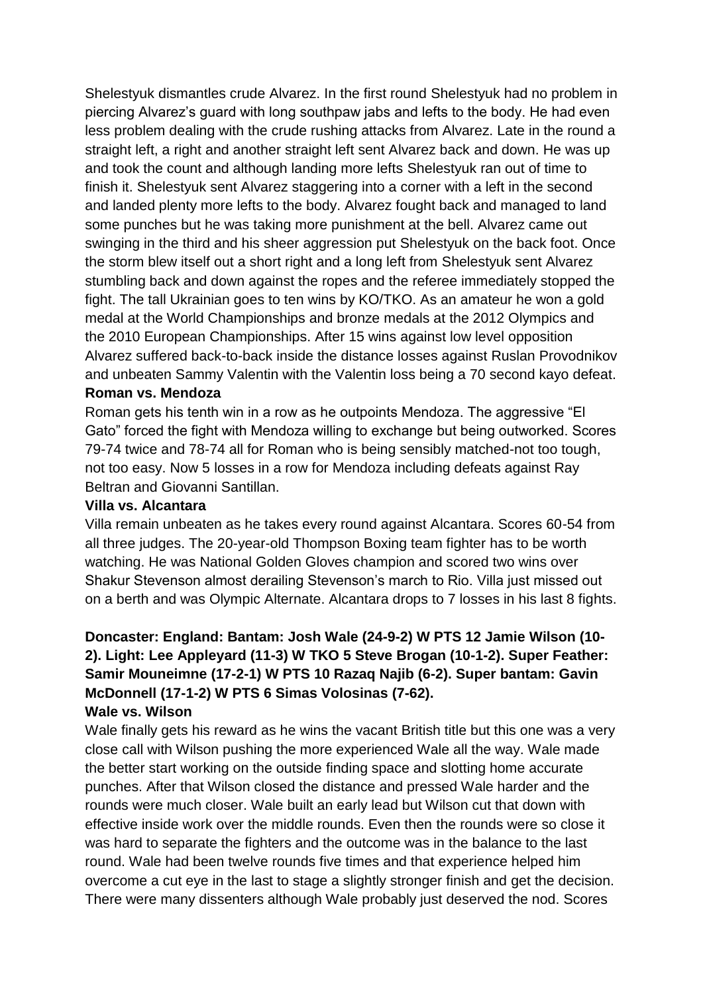Shelestyuk dismantles crude Alvarez. In the first round Shelestyuk had no problem in piercing Alvarez's guard with long southpaw jabs and lefts to the body. He had even less problem dealing with the crude rushing attacks from Alvarez. Late in the round a straight left, a right and another straight left sent Alvarez back and down. He was up and took the count and although landing more lefts Shelestyuk ran out of time to finish it. Shelestyuk sent Alvarez staggering into a corner with a left in the second and landed plenty more lefts to the body. Alvarez fought back and managed to land some punches but he was taking more punishment at the bell. Alvarez came out swinging in the third and his sheer aggression put Shelestyuk on the back foot. Once the storm blew itself out a short right and a long left from Shelestyuk sent Alvarez stumbling back and down against the ropes and the referee immediately stopped the fight. The tall Ukrainian goes to ten wins by KO/TKO. As an amateur he won a gold medal at the World Championships and bronze medals at the 2012 Olympics and the 2010 European Championships. After 15 wins against low level opposition Alvarez suffered back-to-back inside the distance losses against Ruslan Provodnikov and unbeaten Sammy Valentin with the Valentin loss being a 70 second kayo defeat. **Roman vs. Mendoza**

Roman gets his tenth win in a row as he outpoints Mendoza. The aggressive "El Gato" forced the fight with Mendoza willing to exchange but being outworked. Scores 79-74 twice and 78-74 all for Roman who is being sensibly matched-not too tough, not too easy. Now 5 losses in a row for Mendoza including defeats against Ray Beltran and Giovanni Santillan.

#### **Villa vs. Alcantara**

Villa remain unbeaten as he takes every round against Alcantara. Scores 60-54 from all three judges. The 20-year-old Thompson Boxing team fighter has to be worth watching. He was National Golden Gloves champion and scored two wins over Shakur Stevenson almost derailing Stevenson's march to Rio. Villa just missed out on a berth and was Olympic Alternate. Alcantara drops to 7 losses in his last 8 fights.

## **Doncaster: England: Bantam: Josh Wale (24-9-2) W PTS 12 Jamie Wilson (10- 2). Light: Lee Appleyard (11-3) W TKO 5 Steve Brogan (10-1-2). Super Feather: Samir Mouneimne (17-2-1) W PTS 10 Razaq Najib (6-2). Super bantam: Gavin McDonnell (17-1-2) W PTS 6 Simas Volosinas (7-62). Wale vs. Wilson**

Wale finally gets his reward as he wins the vacant British title but this one was a very close call with Wilson pushing the more experienced Wale all the way. Wale made the better start working on the outside finding space and slotting home accurate punches. After that Wilson closed the distance and pressed Wale harder and the rounds were much closer. Wale built an early lead but Wilson cut that down with effective inside work over the middle rounds. Even then the rounds were so close it was hard to separate the fighters and the outcome was in the balance to the last round. Wale had been twelve rounds five times and that experience helped him overcome a cut eye in the last to stage a slightly stronger finish and get the decision. There were many dissenters although Wale probably just deserved the nod. Scores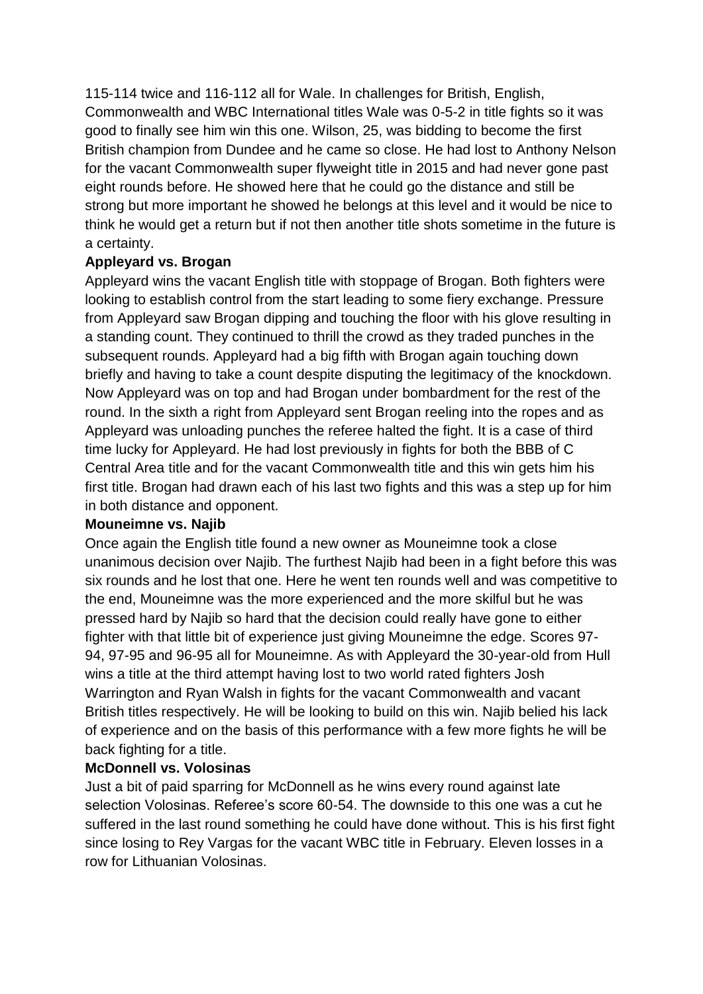115-114 twice and 116-112 all for Wale. In challenges for British, English, Commonwealth and WBC International titles Wale was 0-5-2 in title fights so it was good to finally see him win this one. Wilson, 25, was bidding to become the first British champion from Dundee and he came so close. He had lost to Anthony Nelson for the vacant Commonwealth super flyweight title in 2015 and had never gone past eight rounds before. He showed here that he could go the distance and still be strong but more important he showed he belongs at this level and it would be nice to think he would get a return but if not then another title shots sometime in the future is a certainty.

## **Appleyard vs. Brogan**

Appleyard wins the vacant English title with stoppage of Brogan. Both fighters were looking to establish control from the start leading to some fiery exchange. Pressure from Appleyard saw Brogan dipping and touching the floor with his glove resulting in a standing count. They continued to thrill the crowd as they traded punches in the subsequent rounds. Appleyard had a big fifth with Brogan again touching down briefly and having to take a count despite disputing the legitimacy of the knockdown. Now Appleyard was on top and had Brogan under bombardment for the rest of the round. In the sixth a right from Appleyard sent Brogan reeling into the ropes and as Appleyard was unloading punches the referee halted the fight. It is a case of third time lucky for Appleyard. He had lost previously in fights for both the BBB of C Central Area title and for the vacant Commonwealth title and this win gets him his first title. Brogan had drawn each of his last two fights and this was a step up for him in both distance and opponent.

#### **Mouneimne vs. Najib**

Once again the English title found a new owner as Mouneimne took a close unanimous decision over Najib. The furthest Najib had been in a fight before this was six rounds and he lost that one. Here he went ten rounds well and was competitive to the end, Mouneimne was the more experienced and the more skilful but he was pressed hard by Najib so hard that the decision could really have gone to either fighter with that little bit of experience just giving Mouneimne the edge. Scores 97- 94, 97-95 and 96-95 all for Mouneimne. As with Appleyard the 30-year-old from Hull wins a title at the third attempt having lost to two world rated fighters Josh Warrington and Ryan Walsh in fights for the vacant Commonwealth and vacant British titles respectively. He will be looking to build on this win. Najib belied his lack of experience and on the basis of this performance with a few more fights he will be back fighting for a title.

## **McDonnell vs. Volosinas**

Just a bit of paid sparring for McDonnell as he wins every round against late selection Volosinas. Referee's score 60-54. The downside to this one was a cut he suffered in the last round something he could have done without. This is his first fight since losing to Rey Vargas for the vacant WBC title in February. Eleven losses in a row for Lithuanian Volosinas.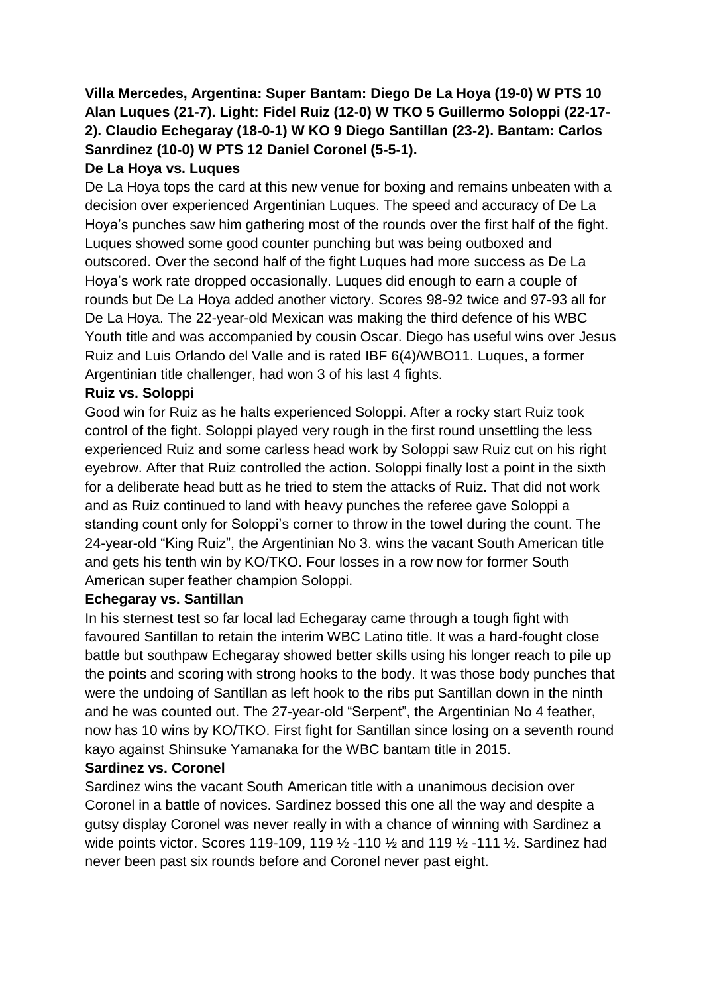# **Villa Mercedes, Argentina: Super Bantam: Diego De La Hoya (19-0) W PTS 10 Alan Luques (21-7). Light: Fidel Ruiz (12-0) W TKO 5 Guillermo Soloppi (22-17- 2). Claudio Echegaray (18-0-1) W KO 9 Diego Santillan (23-2). Bantam: Carlos Sanrdinez (10-0) W PTS 12 Daniel Coronel (5-5-1).**

## **De La Hoya vs. Luques**

De La Hoya tops the card at this new venue for boxing and remains unbeaten with a decision over experienced Argentinian Luques. The speed and accuracy of De La Hoya's punches saw him gathering most of the rounds over the first half of the fight. Luques showed some good counter punching but was being outboxed and outscored. Over the second half of the fight Luques had more success as De La Hoya's work rate dropped occasionally. Luques did enough to earn a couple of rounds but De La Hoya added another victory. Scores 98-92 twice and 97-93 all for De La Hoya. The 22-year-old Mexican was making the third defence of his WBC Youth title and was accompanied by cousin Oscar. Diego has useful wins over Jesus Ruiz and Luis Orlando del Valle and is rated IBF 6(4)/WBO11. Luques, a former Argentinian title challenger, had won 3 of his last 4 fights.

## **Ruiz vs. Soloppi**

Good win for Ruiz as he halts experienced Soloppi. After a rocky start Ruiz took control of the fight. Soloppi played very rough in the first round unsettling the less experienced Ruiz and some carless head work by Soloppi saw Ruiz cut on his right eyebrow. After that Ruiz controlled the action. Soloppi finally lost a point in the sixth for a deliberate head butt as he tried to stem the attacks of Ruiz. That did not work and as Ruiz continued to land with heavy punches the referee gave Soloppi a standing count only for Soloppi's corner to throw in the towel during the count. The 24-year-old "King Ruiz", the Argentinian No 3. wins the vacant South American title and gets his tenth win by KO/TKO. Four losses in a row now for former South American super feather champion Soloppi.

## **Echegaray vs. Santillan**

In his sternest test so far local lad Echegaray came through a tough fight with favoured Santillan to retain the interim WBC Latino title. It was a hard-fought close battle but southpaw Echegaray showed better skills using his longer reach to pile up the points and scoring with strong hooks to the body. It was those body punches that were the undoing of Santillan as left hook to the ribs put Santillan down in the ninth and he was counted out. The 27-year-old "Serpent", the Argentinian No 4 feather, now has 10 wins by KO/TKO. First fight for Santillan since losing on a seventh round kayo against Shinsuke Yamanaka for the WBC bantam title in 2015.

## **Sardinez vs. Coronel**

Sardinez wins the vacant South American title with a unanimous decision over Coronel in a battle of novices. Sardinez bossed this one all the way and despite a gutsy display Coronel was never really in with a chance of winning with Sardinez a wide points victor. Scores 119-109, 119 ½ -110 ½ and 119 ½ -111 ½. Sardinez had never been past six rounds before and Coronel never past eight.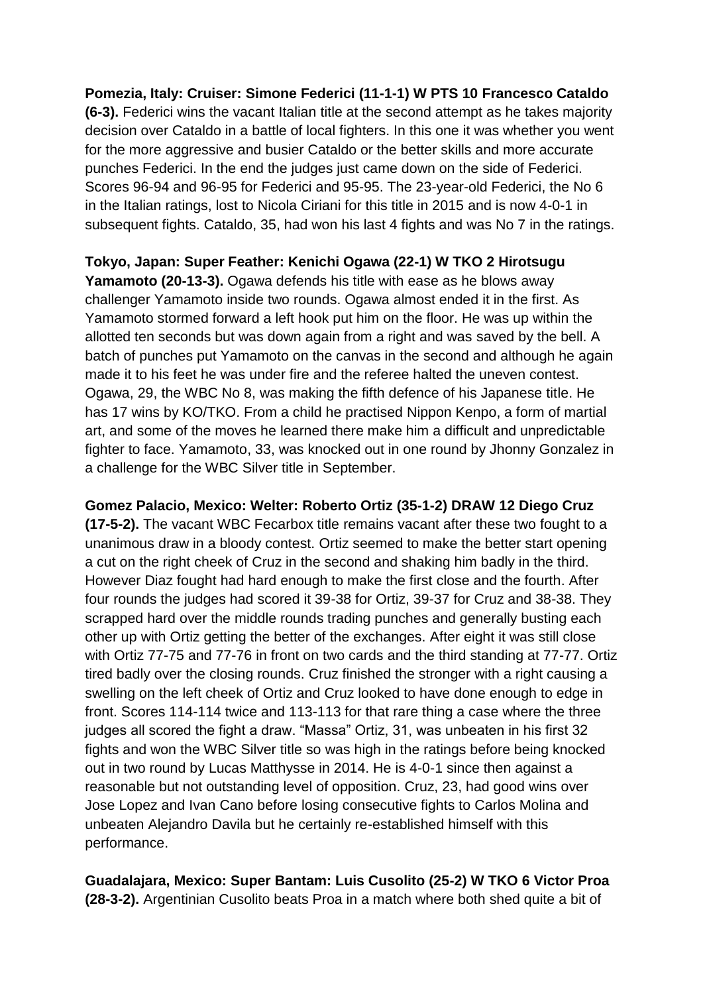**Pomezia, Italy: Cruiser: Simone Federici (11-1-1) W PTS 10 Francesco Cataldo (6-3).** Federici wins the vacant Italian title at the second attempt as he takes majority decision over Cataldo in a battle of local fighters. In this one it was whether you went for the more aggressive and busier Cataldo or the better skills and more accurate punches Federici. In the end the judges just came down on the side of Federici. Scores 96-94 and 96-95 for Federici and 95-95. The 23-year-old Federici, the No 6 in the Italian ratings, lost to Nicola Ciriani for this title in 2015 and is now 4-0-1 in subsequent fights. Cataldo, 35, had won his last 4 fights and was No 7 in the ratings.

**Tokyo, Japan: Super Feather: Kenichi Ogawa (22-1) W TKO 2 Hirotsugu** 

**Yamamoto (20-13-3).** Ogawa defends his title with ease as he blows away challenger Yamamoto inside two rounds. Ogawa almost ended it in the first. As Yamamoto stormed forward a left hook put him on the floor. He was up within the allotted ten seconds but was down again from a right and was saved by the bell. A batch of punches put Yamamoto on the canvas in the second and although he again made it to his feet he was under fire and the referee halted the uneven contest. Ogawa, 29, the WBC No 8, was making the fifth defence of his Japanese title. He has 17 wins by KO/TKO. From a child he practised Nippon Kenpo, a form of martial art, and some of the moves he learned there make him a difficult and unpredictable fighter to face. Yamamoto, 33, was knocked out in one round by Jhonny Gonzalez in a challenge for the WBC Silver title in September.

**Gomez Palacio, Mexico: Welter: Roberto Ortiz (35-1-2) DRAW 12 Diego Cruz** 

**(17-5-2).** The vacant WBC Fecarbox title remains vacant after these two fought to a unanimous draw in a bloody contest. Ortiz seemed to make the better start opening a cut on the right cheek of Cruz in the second and shaking him badly in the third. However Diaz fought had hard enough to make the first close and the fourth. After four rounds the judges had scored it 39-38 for Ortiz, 39-37 for Cruz and 38-38. They scrapped hard over the middle rounds trading punches and generally busting each other up with Ortiz getting the better of the exchanges. After eight it was still close with Ortiz 77-75 and 77-76 in front on two cards and the third standing at 77-77. Ortiz tired badly over the closing rounds. Cruz finished the stronger with a right causing a swelling on the left cheek of Ortiz and Cruz looked to have done enough to edge in front. Scores 114-114 twice and 113-113 for that rare thing a case where the three judges all scored the fight a draw. "Massa" Ortiz, 31, was unbeaten in his first 32 fights and won the WBC Silver title so was high in the ratings before being knocked out in two round by Lucas Matthysse in 2014. He is 4-0-1 since then against a reasonable but not outstanding level of opposition. Cruz, 23, had good wins over Jose Lopez and Ivan Cano before losing consecutive fights to Carlos Molina and unbeaten Alejandro Davila but he certainly re-established himself with this performance.

**Guadalajara, Mexico: Super Bantam: Luis Cusolito (25-2) W TKO 6 Victor Proa (28-3-2).** Argentinian Cusolito beats Proa in a match where both shed quite a bit of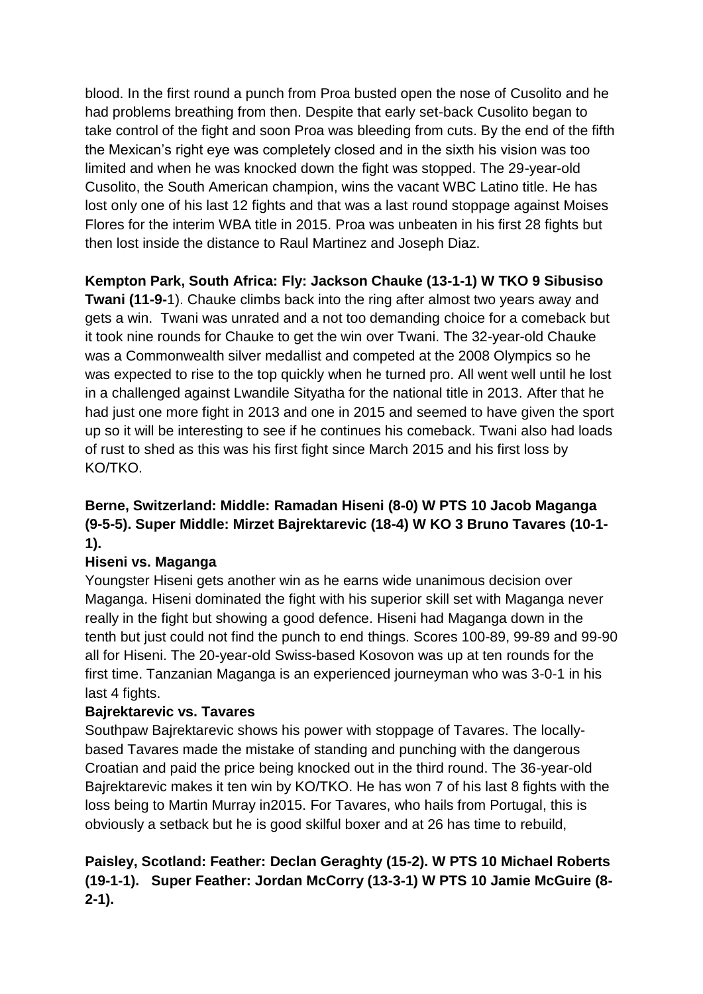blood. In the first round a punch from Proa busted open the nose of Cusolito and he had problems breathing from then. Despite that early set-back Cusolito began to take control of the fight and soon Proa was bleeding from cuts. By the end of the fifth the Mexican's right eye was completely closed and in the sixth his vision was too limited and when he was knocked down the fight was stopped. The 29-year-old Cusolito, the South American champion, wins the vacant WBC Latino title. He has lost only one of his last 12 fights and that was a last round stoppage against Moises Flores for the interim WBA title in 2015. Proa was unbeaten in his first 28 fights but then lost inside the distance to Raul Martinez and Joseph Diaz.

**Kempton Park, South Africa: Fly: Jackson Chauke (13-1-1) W TKO 9 Sibusiso** 

**Twani (11-9-**1). Chauke climbs back into the ring after almost two years away and gets a win. Twani was unrated and a not too demanding choice for a comeback but it took nine rounds for Chauke to get the win over Twani. The 32-year-old Chauke was a Commonwealth silver medallist and competed at the 2008 Olympics so he was expected to rise to the top quickly when he turned pro. All went well until he lost in a challenged against Lwandile Sityatha for the national title in 2013. After that he had just one more fight in 2013 and one in 2015 and seemed to have given the sport up so it will be interesting to see if he continues his comeback. Twani also had loads of rust to shed as this was his first fight since March 2015 and his first loss by KO/TKO.

# **Berne, Switzerland: Middle: Ramadan Hiseni (8-0) W PTS 10 Jacob Maganga (9-5-5). Super Middle: Mirzet Bajrektarevic (18-4) W KO 3 Bruno Tavares (10-1- 1).**

# **Hiseni vs. Maganga**

Youngster Hiseni gets another win as he earns wide unanimous decision over Maganga. Hiseni dominated the fight with his superior skill set with Maganga never really in the fight but showing a good defence. Hiseni had Maganga down in the tenth but just could not find the punch to end things. Scores 100-89, 99-89 and 99-90 all for Hiseni. The 20-year-old Swiss-based Kosovon was up at ten rounds for the first time. Tanzanian Maganga is an experienced journeyman who was 3-0-1 in his last 4 fights.

## **Bajrektarevic vs. Tavares**

Southpaw Bajrektarevic shows his power with stoppage of Tavares. The locallybased Tavares made the mistake of standing and punching with the dangerous Croatian and paid the price being knocked out in the third round. The 36-year-old Bajrektarevic makes it ten win by KO/TKO. He has won 7 of his last 8 fights with the loss being to Martin Murray in2015. For Tavares, who hails from Portugal, this is obviously a setback but he is good skilful boxer and at 26 has time to rebuild,

# **Paisley, Scotland: Feather: Declan Geraghty (15-2). W PTS 10 Michael Roberts (19-1-1). Super Feather: Jordan McCorry (13-3-1) W PTS 10 Jamie McGuire (8- 2-1).**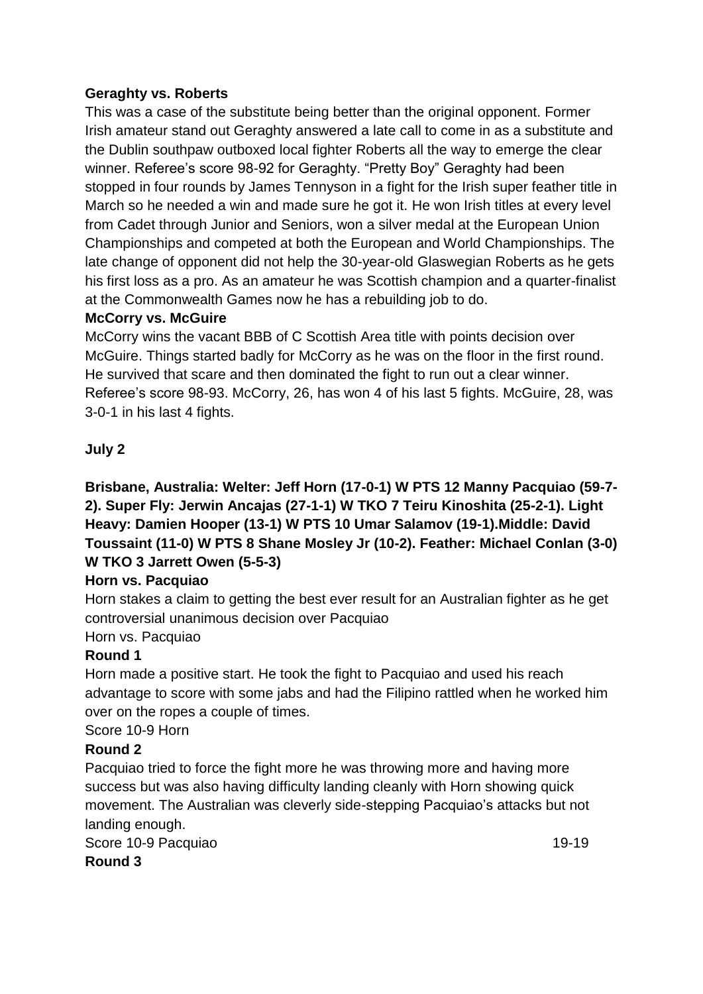## **Geraghty vs. Roberts**

This was a case of the substitute being better than the original opponent. Former Irish amateur stand out Geraghty answered a late call to come in as a substitute and the Dublin southpaw outboxed local fighter Roberts all the way to emerge the clear winner. Referee's score 98-92 for Geraghty. "Pretty Boy" Geraghty had been stopped in four rounds by James Tennyson in a fight for the Irish super feather title in March so he needed a win and made sure he got it. He won Irish titles at every level from Cadet through Junior and Seniors, won a silver medal at the European Union Championships and competed at both the European and World Championships. The late change of opponent did not help the 30-year-old Glaswegian Roberts as he gets his first loss as a pro. As an amateur he was Scottish champion and a quarter-finalist at the Commonwealth Games now he has a rebuilding job to do.

## **McCorry vs. McGuire**

McCorry wins the vacant BBB of C Scottish Area title with points decision over McGuire. Things started badly for McCorry as he was on the floor in the first round. He survived that scare and then dominated the fight to run out a clear winner. Referee's score 98-93. McCorry, 26, has won 4 of his last 5 fights. McGuire, 28, was 3-0-1 in his last 4 fights.

## **July 2**

**Brisbane, Australia: Welter: Jeff Horn (17-0-1) W PTS 12 Manny Pacquiao (59-7- 2). Super Fly: Jerwin Ancajas (27-1-1) W TKO 7 Teiru Kinoshita (25-2-1). Light Heavy: Damien Hooper (13-1) W PTS 10 Umar Salamov (19-1).Middle: David Toussaint (11-0) W PTS 8 Shane Mosley Jr (10-2). Feather: Michael Conlan (3-0) W TKO 3 Jarrett Owen (5-5-3)**

## **Horn vs. Pacquiao**

Horn stakes a claim to getting the best ever result for an Australian fighter as he get controversial unanimous decision over Pacquiao

# Horn vs. Pacquiao

## **Round 1**

Horn made a positive start. He took the fight to Pacquiao and used his reach advantage to score with some jabs and had the Filipino rattled when he worked him over on the ropes a couple of times.

Score 10-9 Horn

# **Round 2**

Pacquiao tried to force the fight more he was throwing more and having more success but was also having difficulty landing cleanly with Horn showing quick movement. The Australian was cleverly side-stepping Pacquiao's attacks but not landing enough.

Score 10-9 Pacquiao 19-19

**Round 3**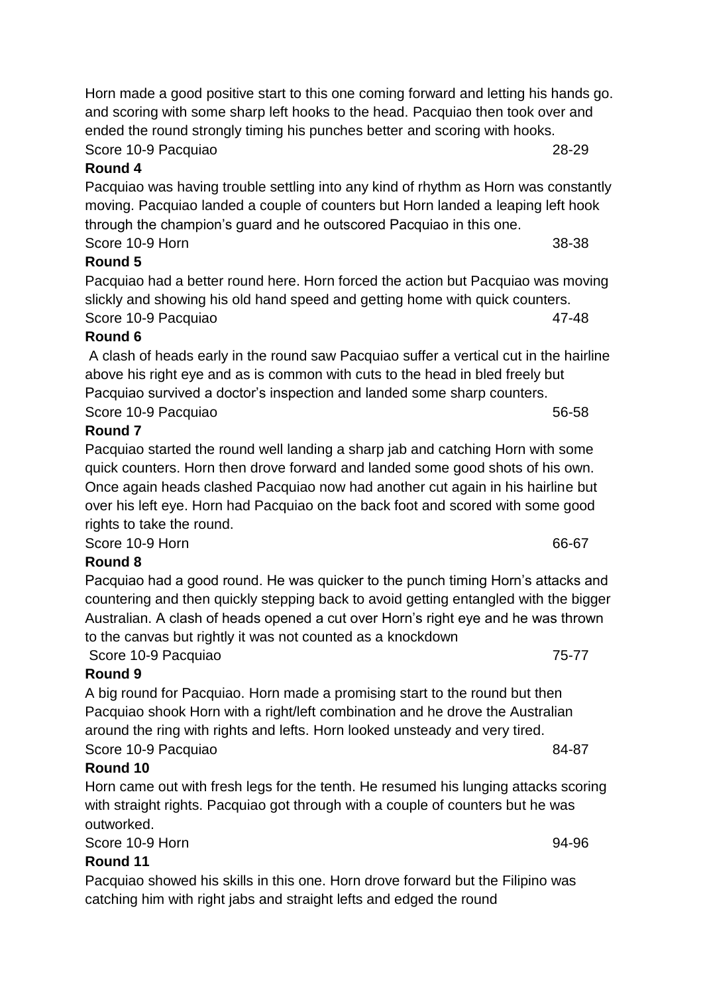Horn made a good positive start to this one coming forward and letting his hands go. and scoring with some sharp left hooks to the head. Pacquiao then took over and ended the round strongly timing his punches better and scoring with hooks. Score 10-9 Pacquiao 28-29

# **Round 4**

Pacquiao was having trouble settling into any kind of rhythm as Horn was constantly moving. Pacquiao landed a couple of counters but Horn landed a leaping left hook through the champion's guard and he outscored Pacquiao in this one. Score 10-9 Horn 38-38

## **Round 5**

Pacquiao had a better round here. Horn forced the action but Pacquiao was moving slickly and showing his old hand speed and getting home with quick counters. Score 10-9 Pacquiao 47-48

## **Round 6**

A clash of heads early in the round saw Pacquiao suffer a vertical cut in the hairline above his right eye and as is common with cuts to the head in bled freely but Pacquiao survived a doctor's inspection and landed some sharp counters. Score 10-9 Pacquiao 66-58

# **Round 7**

Pacquiao started the round well landing a sharp jab and catching Horn with some quick counters. Horn then drove forward and landed some good shots of his own. Once again heads clashed Pacquiao now had another cut again in his hairline but over his left eye. Horn had Pacquiao on the back foot and scored with some good rights to take the round.

Score 10-9 Horn 66-67

## **Round 8**

Pacquiao had a good round. He was quicker to the punch timing Horn's attacks and countering and then quickly stepping back to avoid getting entangled with the bigger Australian. A clash of heads opened a cut over Horn's right eye and he was thrown to the canvas but rightly it was not counted as a knockdown

Score 10-9 Pacquiao 75-77

# **Round 9**

A big round for Pacquiao. Horn made a promising start to the round but then Pacquiao shook Horn with a right/left combination and he drove the Australian around the ring with rights and lefts. Horn looked unsteady and very tired. Score 10-9 Pacquiao 84-87

# **Round 10**

Horn came out with fresh legs for the tenth. He resumed his lunging attacks scoring with straight rights. Pacquiao got through with a couple of counters but he was outworked.

Score 10-9 Horn 94-96

## **Round 11**

Pacquiao showed his skills in this one. Horn drove forward but the Filipino was catching him with right jabs and straight lefts and edged the round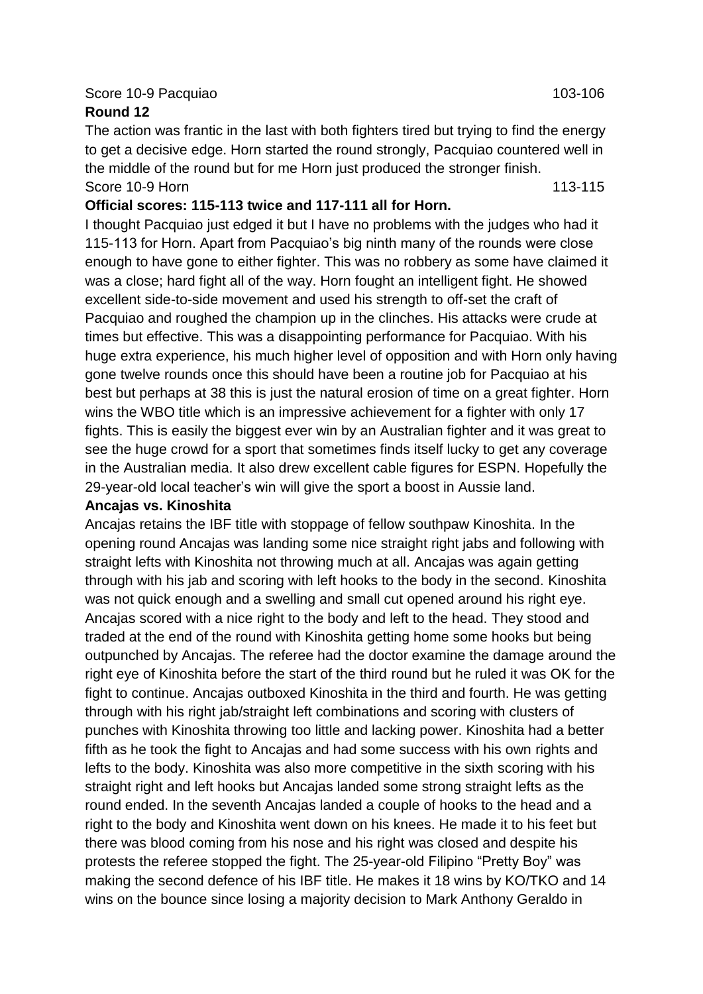#### Score 10-9 Pacquiao 103-106

#### **Round 12**

The action was frantic in the last with both fighters tired but trying to find the energy to get a decisive edge. Horn started the round strongly, Pacquiao countered well in the middle of the round but for me Horn just produced the stronger finish. Score 10-9 Horn 113-115

#### **Official scores: 115-113 twice and 117-111 all for Horn.**

I thought Pacquiao just edged it but I have no problems with the judges who had it 115-113 for Horn. Apart from Pacquiao's big ninth many of the rounds were close enough to have gone to either fighter. This was no robbery as some have claimed it was a close; hard fight all of the way. Horn fought an intelligent fight. He showed excellent side-to-side movement and used his strength to off-set the craft of Pacquiao and roughed the champion up in the clinches. His attacks were crude at times but effective. This was a disappointing performance for Pacquiao. With his huge extra experience, his much higher level of opposition and with Horn only having gone twelve rounds once this should have been a routine job for Pacquiao at his best but perhaps at 38 this is just the natural erosion of time on a great fighter. Horn wins the WBO title which is an impressive achievement for a fighter with only 17 fights. This is easily the biggest ever win by an Australian fighter and it was great to see the huge crowd for a sport that sometimes finds itself lucky to get any coverage in the Australian media. It also drew excellent cable figures for ESPN. Hopefully the 29-year-old local teacher's win will give the sport a boost in Aussie land.

#### **Ancajas vs. Kinoshita**

Ancajas retains the IBF title with stoppage of fellow southpaw Kinoshita. In the opening round Ancajas was landing some nice straight right jabs and following with straight lefts with Kinoshita not throwing much at all. Ancajas was again getting through with his jab and scoring with left hooks to the body in the second. Kinoshita was not quick enough and a swelling and small cut opened around his right eye. Ancajas scored with a nice right to the body and left to the head. They stood and traded at the end of the round with Kinoshita getting home some hooks but being outpunched by Ancajas. The referee had the doctor examine the damage around the right eye of Kinoshita before the start of the third round but he ruled it was OK for the fight to continue. Ancajas outboxed Kinoshita in the third and fourth. He was getting through with his right jab/straight left combinations and scoring with clusters of punches with Kinoshita throwing too little and lacking power. Kinoshita had a better fifth as he took the fight to Ancajas and had some success with his own rights and lefts to the body. Kinoshita was also more competitive in the sixth scoring with his straight right and left hooks but Ancajas landed some strong straight lefts as the round ended. In the seventh Ancajas landed a couple of hooks to the head and a right to the body and Kinoshita went down on his knees. He made it to his feet but there was blood coming from his nose and his right was closed and despite his protests the referee stopped the fight. The 25-year-old Filipino "Pretty Boy" was making the second defence of his IBF title. He makes it 18 wins by KO/TKO and 14 wins on the bounce since losing a majority decision to Mark Anthony Geraldo in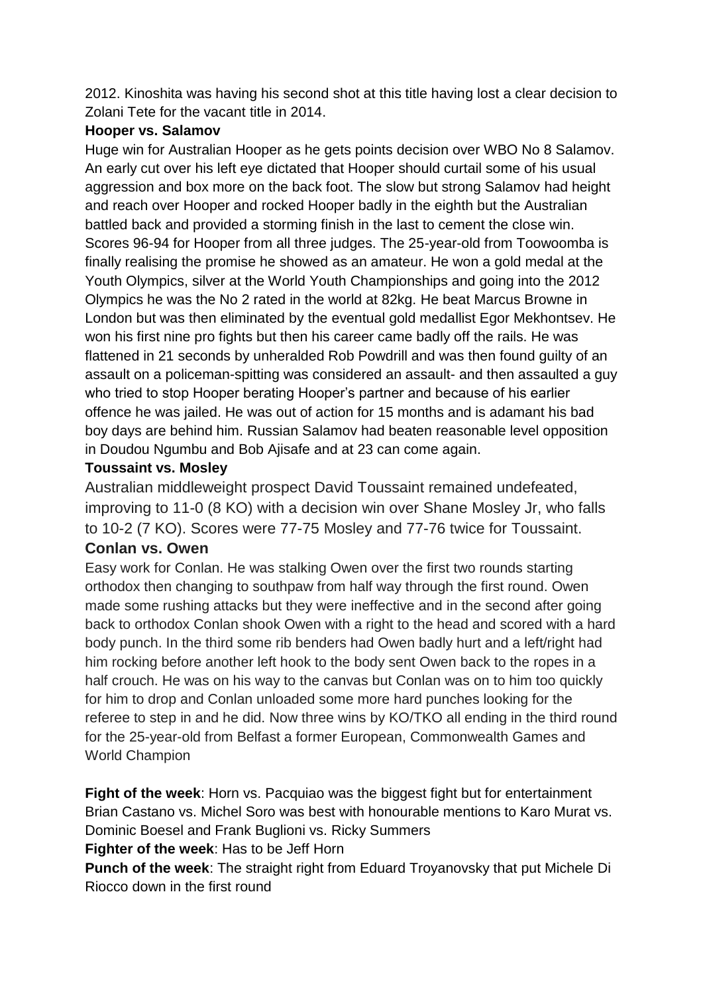2012. Kinoshita was having his second shot at this title having lost a clear decision to Zolani Tete for the vacant title in 2014.

## **Hooper vs. Salamov**

Huge win for Australian Hooper as he gets points decision over WBO No 8 Salamov. An early cut over his left eye dictated that Hooper should curtail some of his usual aggression and box more on the back foot. The slow but strong Salamov had height and reach over Hooper and rocked Hooper badly in the eighth but the Australian battled back and provided a storming finish in the last to cement the close win. Scores 96-94 for Hooper from all three judges. The 25-year-old from Toowoomba is finally realising the promise he showed as an amateur. He won a gold medal at the Youth Olympics, silver at the World Youth Championships and going into the 2012 Olympics he was the No 2 rated in the world at 82kg. He beat Marcus Browne in London but was then eliminated by the eventual gold medallist Egor Mekhontsev. He won his first nine pro fights but then his career came badly off the rails. He was flattened in 21 seconds by unheralded Rob Powdrill and was then found guilty of an assault on a policeman-spitting was considered an assault- and then assaulted a guy who tried to stop Hooper berating Hooper's partner and because of his earlier offence he was jailed. He was out of action for 15 months and is adamant his bad boy days are behind him. Russian Salamov had beaten reasonable level opposition in Doudou Ngumbu and Bob Ajisafe and at 23 can come again.

## **Toussaint vs. Mosley**

# **Australian middleweight prospect David Toussaint remained undefeated, improving to 11-0 (8 KO) with a decision win over Shane Mosley Jr, who falls to 10-2 (7 KO). Scores were 77-75 Mosley and 77-76 twice for Toussaint. Conlan vs. Owen**

Easy work for Conlan. He was stalking Owen over the first two rounds starting orthodox then changing to southpaw from half way through the first round. Owen made some rushing attacks but they were ineffective and in the second after going back to orthodox Conlan shook Owen with a right to the head and scored with a hard body punch. In the third some rib benders had Owen badly hurt and a left/right had him rocking before another left hook to the body sent Owen back to the ropes in a half crouch. He was on his way to the canvas but Conlan was on to him too quickly for him to drop and Conlan unloaded some more hard punches looking for the referee to step in and he did. Now three wins by KO/TKO all ending in the third round for the 25-year-old from Belfast a former European, Commonwealth Games and World Champion

**Fight of the week**: Horn vs. Pacquiao was the biggest fight but for entertainment Brian Castano vs. Michel Soro was best with honourable mentions to Karo Murat vs. Dominic Boesel and Frank Buglioni vs. Ricky Summers

**Fighter of the week**: Has to be Jeff Horn

**Punch of the week**: The straight right from Eduard Troyanovsky that put Michele Di Riocco down in the first round